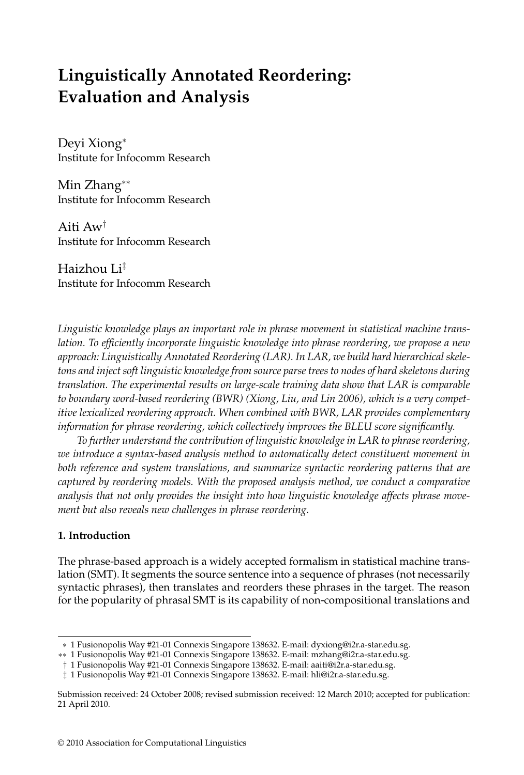# **Linguistically Annotated Reordering: Evaluation and Analysis**

Deyi Xiong<sup>∗</sup> Institute for Infocomm Research

Min Zhang∗∗ Institute for Infocomm Research

Aiti  $A w^{\dagger}$ Institute for Infocomm Research

Haizhou Li‡ Institute for Infocomm Research

*Linguistic knowledge plays an important role in phrase movement in statistical machine translation. To efficiently incorporate linguistic knowledge into phrase reordering, we propose a new approach: Linguistically Annotated Reordering (LAR). In LAR, we build hard hierarchical skeletons and inject soft linguistic knowledge from source parse trees to nodes of hard skeletons during translation. The experimental results on large-scale training data show that LAR is comparable to boundary word-based reordering (BWR) (Xiong, Liu, and Lin 2006), which is a very competitive lexicalized reordering approach. When combined with BWR, LAR provides complementary information for phrase reordering, which collectively improves the BLEU score significantly.*

*To further understand the contribution of linguistic knowledge in LAR to phrase reordering, we introduce a syntax-based analysis method to automatically detect constituent movement in both reference and system translations, and summarize syntactic reordering patterns that are captured by reordering models. With the proposed analysis method, we conduct a comparative analysis that not only provides the insight into how linguistic knowledge affects phrase movement but also reveals new challenges in phrase reordering.*

### **1. Introduction**

The phrase-based approach is a widely accepted formalism in statistical machine translation (SMT). It segments the source sentence into a sequence of phrases (not necessarily syntactic phrases), then translates and reorders these phrases in the target. The reason for the popularity of phrasal SMT is its capability of non-compositional translations and

<sup>∗</sup> 1 Fusionopolis Way #21-01 Connexis Singapore 138632. E-mail: dyxiong@i2r.a-star.edu.sg.

<sup>∗∗</sup> 1 Fusionopolis Way #21-01 Connexis Singapore 138632. E-mail: mzhang@i2r.a-star.edu.sg.

<sup>†</sup> 1 Fusionopolis Way #21-01 Connexis Singapore 138632. E-mail: aaiti@i2r.a-star.edu.sg.

<sup>‡</sup> 1 Fusionopolis Way #21-01 Connexis Singapore 138632. E-mail: hli@i2r.a-star.edu.sg.

Submission received: 24 October 2008; revised submission received: 12 March 2010; accepted for publication: 21 April 2010.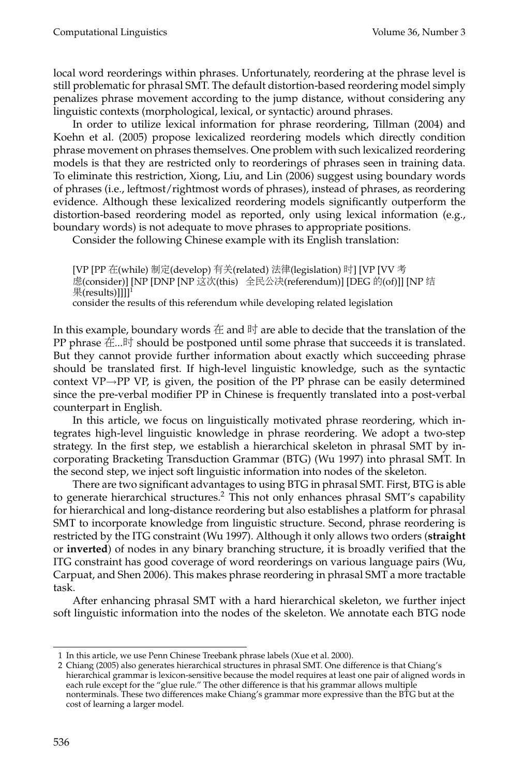local word reorderings within phrases. Unfortunately, reordering at the phrase level is still problematic for phrasal SMT. The default distortion-based reordering model simply penalizes phrase movement according to the jump distance, without considering any linguistic contexts (morphological, lexical, or syntactic) around phrases.

In order to utilize lexical information for phrase reordering, Tillman (2004) and Koehn et al. (2005) propose lexicalized reordering models which directly condition phrase movement on phrases themselves. One problem with such lexicalized reordering models is that they are restricted only to reorderings of phrases seen in training data. To eliminate this restriction, Xiong, Liu, and Lin (2006) suggest using boundary words of phrases (i.e., leftmost/rightmost words of phrases), instead of phrases, as reordering evidence. Although these lexicalized reordering models significantly outperform the distortion-based reordering model as reported, only using lexical information (e.g., boundary words) is not adequate to move phrases to appropriate positions.

Consider the following Chinese example with its English translation:

[VP [PP 在(while) 制定(develop) 有关(related) 法律(legislation) 时] [VP [VV 考 虑(consider)] [NP [DNP [NP 这次(this) 全民公决(referendum)] [DEG 的(of)]] [NP 结  $\mathbb{R}$ (results)]]]<sup>1</sup> consider the results of this referendum while developing related legislation

In this example, boundary words  $\bar{\text{\texttt{m}}}$  and  $\mathbb H$  are able to decide that the translation of the PP phrase 在…时 should be postponed until some phrase that succeeds it is translated. But they cannot provide further information about exactly which succeeding phrase should be translated first. If high-level linguistic knowledge, such as the syntactic context VP $\rightarrow$ PP VP, is given, the position of the PP phrase can be easily determined since the pre-verbal modifier PP in Chinese is frequently translated into a post-verbal counterpart in English.

In this article, we focus on linguistically motivated phrase reordering, which integrates high-level linguistic knowledge in phrase reordering. We adopt a two-step strategy. In the first step, we establish a hierarchical skeleton in phrasal SMT by incorporating Bracketing Transduction Grammar (BTG) (Wu 1997) into phrasal SMT. In the second step, we inject soft linguistic information into nodes of the skeleton.

There are two significant advantages to using BTG in phrasal SMT. First, BTG is able to generate hierarchical structures.<sup>2</sup> This not only enhances phrasal SMT's capability for hierarchical and long-distance reordering but also establishes a platform for phrasal SMT to incorporate knowledge from linguistic structure. Second, phrase reordering is restricted by the ITG constraint (Wu 1997). Although it only allows two orders (**straight** or **inverted**) of nodes in any binary branching structure, it is broadly verified that the ITG constraint has good coverage of word reorderings on various language pairs (Wu, Carpuat, and Shen 2006). This makes phrase reordering in phrasal SMT a more tractable task.

After enhancing phrasal SMT with a hard hierarchical skeleton, we further inject soft linguistic information into the nodes of the skeleton. We annotate each BTG node

<sup>1</sup> In this article, we use Penn Chinese Treebank phrase labels (Xue et al. 2000).

<sup>2</sup> Chiang (2005) also generates hierarchical structures in phrasal SMT. One difference is that Chiang's hierarchical grammar is lexicon-sensitive because the model requires at least one pair of aligned words in each rule except for the "glue rule." The other difference is that his grammar allows multiple nonterminals. These two differences make Chiang's grammar more expressive than the BTG but at the cost of learning a larger model.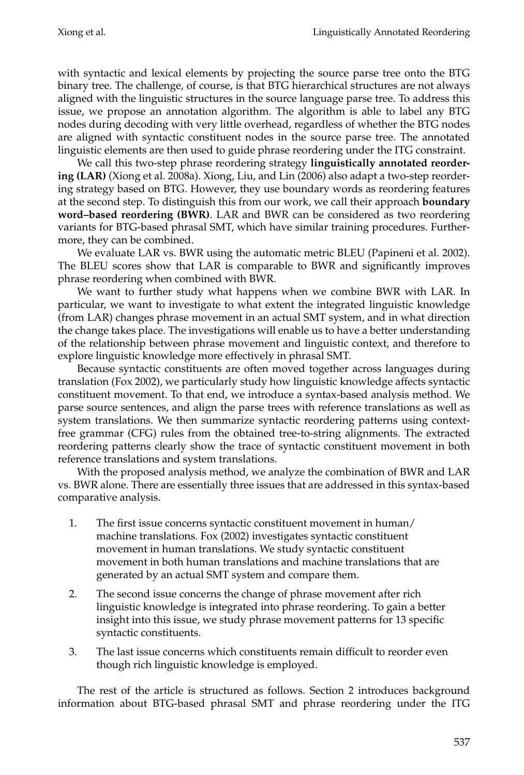with syntactic and lexical elements by projecting the source parse tree onto the BTG binary tree. The challenge, of course, is that BTG hierarchical structures are not always aligned with the linguistic structures in the source language parse tree. To address this issue, we propose an annotation algorithm. The algorithm is able to label any BTG nodes during decoding with very little overhead, regardless of whether the BTG nodes are aligned with syntactic constituent nodes in the source parse tree. The annotated linguistic elements are then used to guide phrase reordering under the ITG constraint.

We call this two-step phrase reordering strategy **linguistically annotated reordering (LAR)** (Xiong et al. 2008a). Xiong, Liu, and Lin (2006) also adapt a two-step reordering strategy based on BTG. However, they use boundary words as reordering features at the second step. To distinguish this from our work, we call their approach **boundary word–based reordering (BWR)**. LAR and BWR can be considered as two reordering variants for BTG-based phrasal SMT, which have similar training procedures. Furthermore, they can be combined.

We evaluate LAR vs. BWR using the automatic metric BLEU (Papineni et al. 2002). The BLEU scores show that LAR is comparable to BWR and significantly improves phrase reordering when combined with BWR.

We want to further study what happens when we combine BWR with LAR. In particular, we want to investigate to what extent the integrated linguistic knowledge (from LAR) changes phrase movement in an actual SMT system, and in what direction the change takes place. The investigations will enable us to have a better understanding of the relationship between phrase movement and linguistic context, and therefore to explore linguistic knowledge more effectively in phrasal SMT.

Because syntactic constituents are often moved together across languages during translation (Fox 2002), we particularly study how linguistic knowledge affects syntactic constituent movement. To that end, we introduce a syntax-based analysis method. We parse source sentences, and align the parse trees with reference translations as well as system translations. We then summarize syntactic reordering patterns using contextfree grammar (CFG) rules from the obtained tree-to-string alignments. The extracted reordering patterns clearly show the trace of syntactic constituent movement in both reference translations and system translations.

With the proposed analysis method, we analyze the combination of BWR and LAR vs. BWR alone. There are essentially three issues that are addressed in this syntax-based comparative analysis.

- 1. The first issue concerns syntactic constituent movement in human/ machine translations. Fox (2002) investigates syntactic constituent movement in human translations. We study syntactic constituent movement in both human translations and machine translations that are generated by an actual SMT system and compare them.
- 2. The second issue concerns the change of phrase movement after rich linguistic knowledge is integrated into phrase reordering. To gain a better insight into this issue, we study phrase movement patterns for 13 specific syntactic constituents.
- 3. The last issue concerns which constituents remain difficult to reorder even though rich linguistic knowledge is employed.

The rest of the article is structured as follows. Section 2 introduces background information about BTG-based phrasal SMT and phrase reordering under the ITG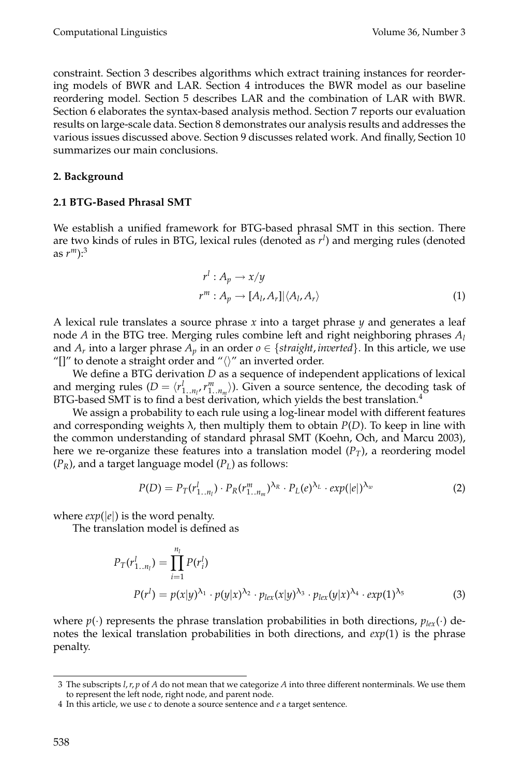constraint. Section 3 describes algorithms which extract training instances for reordering models of BWR and LAR. Section 4 introduces the BWR model as our baseline reordering model. Section 5 describes LAR and the combination of LAR with BWR. Section 6 elaborates the syntax-based analysis method. Section 7 reports our evaluation results on large-scale data. Section 8 demonstrates our analysis results and addresses the various issues discussed above. Section 9 discusses related work. And finally, Section 10 summarizes our main conclusions.

### **2. Background**

### **2.1 BTG-Based Phrasal SMT**

We establish a unified framework for BTG-based phrasal SMT in this section. There are two kinds of rules in BTG, lexical rules (denoted as *r<sup>l</sup>* ) and merging rules (denoted as  $r^m$ ):<sup>3</sup>

$$
r^{l}: A_{p} \to x/y
$$
  
\n
$$
r^{m}: A_{p} \to [A_{l}, A_{r}][\langle A_{l}, A_{r} \rangle
$$
\n(1)

A lexical rule translates a source phrase *x* into a target phrase *y* and generates a leaf node *A* in the BTG tree. Merging rules combine left and right neighboring phrases *Al* and  $A_r$  into a larger phrase  $A_p$  in an order  $o \in \{straight, inverted\}$ . In this article, we use "[]" to denote a straight order and " $\langle \rangle$ " an inverted order.

We define a BTG derivation *D* as a sequence of independent applications of lexical and merging rules  $(D = \langle r^l_{1..n_l}, r^m_{1..n_m} \rangle)$ . Given a source sentence, the decoding task of BTG-based SMT is to find a best derivation, which yields the best translation.<sup>4</sup>

We assign a probability to each rule using a log-linear model with different features and corresponding weights  $\lambda$ , then multiply them to obtain  $P(D)$ . To keep in line with the common understanding of standard phrasal SMT (Koehn, Och, and Marcu 2003), here we re-organize these features into a translation model  $(P_T)$ , a reordering model  $(P_R)$ , and a target language model  $(P_L)$  as follows:

$$
P(D) = P_T(r_{1..n_l}^l) \cdot P_R(r_{1..n_m}^m)^{\lambda_R} \cdot P_L(e)^{\lambda_L} \cdot exp(|e|)^{\lambda_w}
$$
 (2)

where  $exp(|e|)$  is the word penalty.

The translation model is defined as

$$
P_T(r_{1..n_l}^l) = \prod_{i=1}^{n_l} P(r_i^l)
$$
  
\n
$$
P(r^l) = p(x|y)^{\lambda_1} \cdot p(y|x)^{\lambda_2} \cdot p_{lex}(x|y)^{\lambda_3} \cdot p_{lex}(y|x)^{\lambda_4} \cdot exp(1)^{\lambda_5}
$$
\n(3)

where  $p(\cdot)$  represents the phrase translation probabilities in both directions,  $p_{lex}(\cdot)$  denotes the lexical translation probabilities in both directions, and *exp*(1) is the phrase penalty.

<sup>3</sup> The subscripts *l*,*r*, *p* of *A* do not mean that we categorize *A* into three different nonterminals. We use them to represent the left node, right node, and parent node.

<sup>4</sup> In this article, we use *c* to denote a source sentence and *e* a target sentence.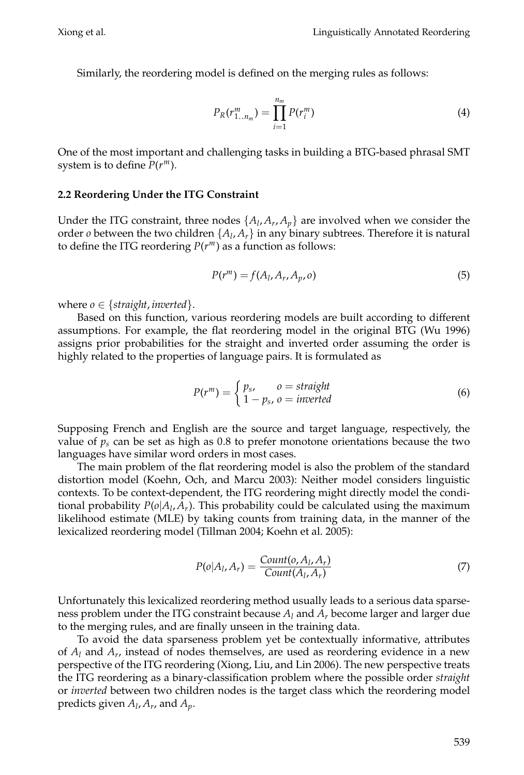Similarly, the reordering model is defined on the merging rules as follows:

$$
P_R(r_{1..n_m}^m) = \prod_{i=1}^{n_m} P(r_i^m)
$$
\n(4)

One of the most important and challenging tasks in building a BTG-based phrasal SMT system is to define  $P(r^m)$ .

#### **2.2 Reordering Under the ITG Constraint**

Under the ITG constraint, three nodes  $\{A_l, A_r, A_p\}$  are involved when we consider the order *o* between the two children  $\{A_l, A_r\}$  in any binary subtrees. Therefore it is natural to define the ITG reordering  $P(r^m)$  as a function as follows:

$$
P(rm) = f(Al, Ar, Ap, o)
$$
\n(5)

where  $o \in \{straight, inverted\}$ .

Based on this function, various reordering models are built according to different assumptions. For example, the flat reordering model in the original BTG (Wu 1996) assigns prior probabilities for the straight and inverted order assuming the order is highly related to the properties of language pairs. It is formulated as

$$
P(rm) = \begin{cases} ps, & o = straight \\ 1 - ps, o = inverted \end{cases}
$$
 (6)

Supposing French and English are the source and target language, respectively, the value of  $p_s$  can be set as high as  $0.8$  to prefer monotone orientations because the two languages have similar word orders in most cases.

The main problem of the flat reordering model is also the problem of the standard distortion model (Koehn, Och, and Marcu 2003): Neither model considers linguistic contexts. To be context-dependent, the ITG reordering might directly model the conditional probability  $P(o|A_l, A_r)$ . This probability could be calculated using the maximum likelihood estimate (MLE) by taking counts from training data, in the manner of the lexicalized reordering model (Tillman 2004; Koehn et al. 2005):

$$
P(o|A_l, A_r) = \frac{Count(o, A_l, A_r)}{Count(A_l, A_r)}
$$
\n(7)

Unfortunately this lexicalized reordering method usually leads to a serious data sparseness problem under the ITG constraint because  $A_l$  and  $A_r$  become larger and larger due to the merging rules, and are finally unseen in the training data.

To avoid the data sparseness problem yet be contextually informative, attributes of *Al* and *Ar*, instead of nodes themselves, are used as reordering evidence in a new perspective of the ITG reordering (Xiong, Liu, and Lin 2006). The new perspective treats the ITG reordering as a binary-classification problem where the possible order *straight* or *inverted* between two children nodes is the target class which the reordering model predicts given *Al*, *Ar*, and *Ap*.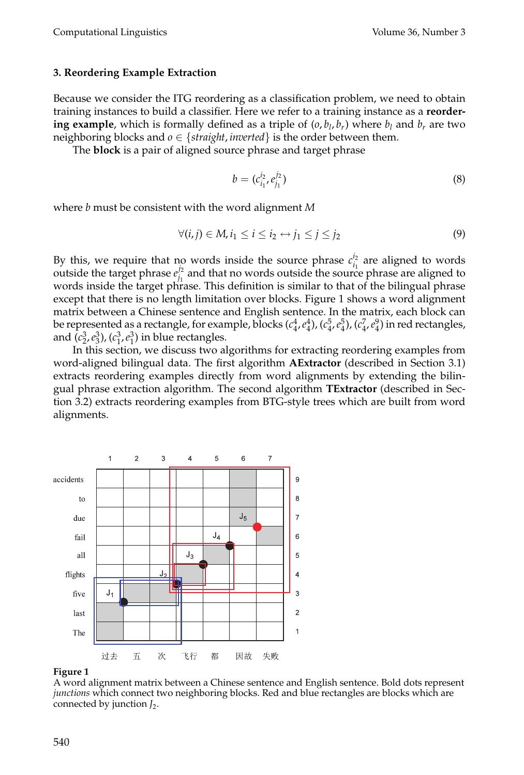### **3. Reordering Example Extraction**

Because we consider the ITG reordering as a classification problem, we need to obtain training instances to build a classifier. Here we refer to a training instance as a **reordering example**, which is formally defined as a triple of  $(o, b_l, b_r)$  where  $b_l$  and  $b_r$  are two neighboring blocks and  $o \in \{straight, inverted\}$  is the order between them.

The **block** is a pair of aligned source phrase and target phrase

$$
b = (c_{i_1}^{i_2}, e_{j_1}^{j_2})
$$
\n(8)

where *b* must be consistent with the word alignment *M*

$$
\forall (i,j) \in M, i_1 \leq i \leq i_2 \leftrightarrow j_1 \leq j \leq j_2 \tag{9}
$$

By this, we require that no words inside the source phrase  $c_{i_1}^{i_2}$  are aligned to words outside the target phrase  $e_{j_1}^{j_2}$  and that no words outside the source phrase are aligned to words inside the target phrase. This definition is similar to that of the bilingual phrase except that there is no length limitation over blocks. Figure 1 shows a word alignment matrix between a Chinese sentence and English sentence. In the matrix, each block can be represented as a rectangle, for example, blocks  $(c_4^4, e_4^4)$ ,  $(c_4^5, e_4^5)$ ,  $(c_4^7, e_4^9)$  in red rectangles, and  $(c_2^3, e_3^3)$ ,  $(c_1^3, e_1^3)$  in blue rectangles.

In this section, we discuss two algorithms for extracting reordering examples from word-aligned bilingual data. The first algorithm **AExtractor** (described in Section 3.1) extracts reordering examples directly from word alignments by extending the bilingual phrase extraction algorithm. The second algorithm **TExtractor** (described in Section 3.2) extracts reordering examples from BTG-style trees which are built from word alignments.



#### **Figure 1**

A word alignment matrix between a Chinese sentence and English sentence. Bold dots represent *junctions* which connect two neighboring blocks. Red and blue rectangles are blocks which are connected by junction *J*<sub>2</sub>.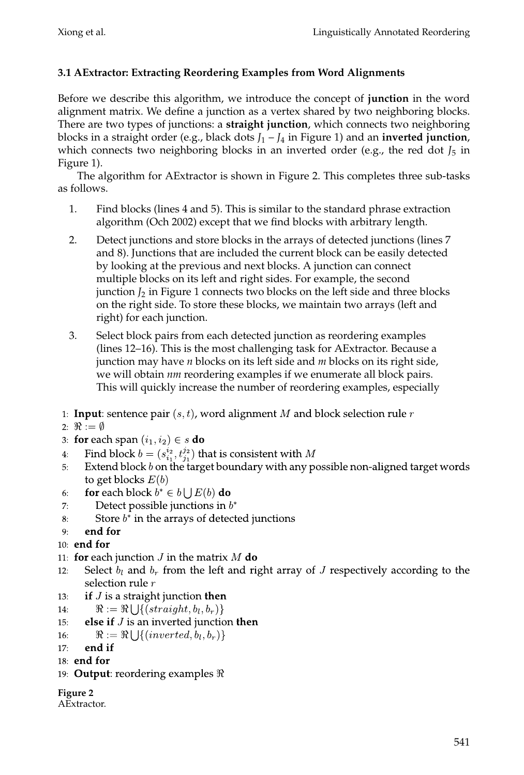# **3.1 AExtractor: Extracting Reordering Examples from Word Alignments**

Before we describe this algorithm, we introduce the concept of **junction** in the word alignment matrix. We define a junction as a vertex shared by two neighboring blocks. There are two types of junctions: a **straight junction**, which connects two neighboring blocks in a straight order (e.g., black dots  $J_1 - J_4$  in Figure 1) and an **inverted junction**, which connects two neighboring blocks in an inverted order (e.g., the red dot  $J_5$  in Figure 1).

The algorithm for AExtractor is shown in Figure 2. This completes three sub-tasks as follows.

- 1. Find blocks (lines 4 and 5). This is similar to the standard phrase extraction algorithm (Och 2002) except that we find blocks with arbitrary length.
- 2. Detect junctions and store blocks in the arrays of detected junctions (lines 7 and 8). Junctions that are included the current block can be easily detected by looking at the previous and next blocks. A junction can connect multiple blocks on its left and right sides. For example, the second junction  $J_2$  in Figure 1 connects two blocks on the left side and three blocks on the right side. To store these blocks, we maintain two arrays (left and right) for each junction.
- 3. Select block pairs from each detected junction as reordering examples (lines 12–16). This is the most challenging task for AExtractor. Because a junction may have *n* blocks on its left side and *m* blocks on its right side, we will obtain *nm* reordering examples if we enumerate all block pairs. This will quickly increase the number of reordering examples, especially
- 1: **Input:** sentence pair  $(s, t)$ , word alignment M and block selection rule r
- 2:  $\Re := \emptyset$
- 3: for each span  $(i_1, i_2) \in s$  do
- Find block  $b = (s_{i_1}^{i_2}, t_{i_1}^{j_2})$  that is consistent with M  $4.$
- Extend block  $b$  on the target boundary with any possible non-aligned target words 5. to get blocks  $E(b)$
- **for** each block  $b^* \in b \cup E(b)$  **do** 6:
- Detect possible junctions in  $b^*$ 7:
- Store  $b^*$  in the arrays of detected junctions 8:
- q. end for

```
10: end for
```
- 11: for each junction  $J$  in the matrix  $M$  do
- Select  $b_l$  and  $b_r$  from the left and right array of J respectively according to the  $12:$ selection rule  $r$
- $13:$ if  $J$  is a straight junction then
- $\Re := \Re \bigcup \{ (straight, b_l, b_r) \}$  $14:$
- else if  $J$  is an inverted junction then  $15:$
- $\Re := \Re \bigcup \{ (inverted, b_l, b_r) \}$  $16:$
- end if  $17:$
- 18: end for
- 19: **Output:** reordering examples  $\Re$

**Figure 2**

```
AExtractor.
```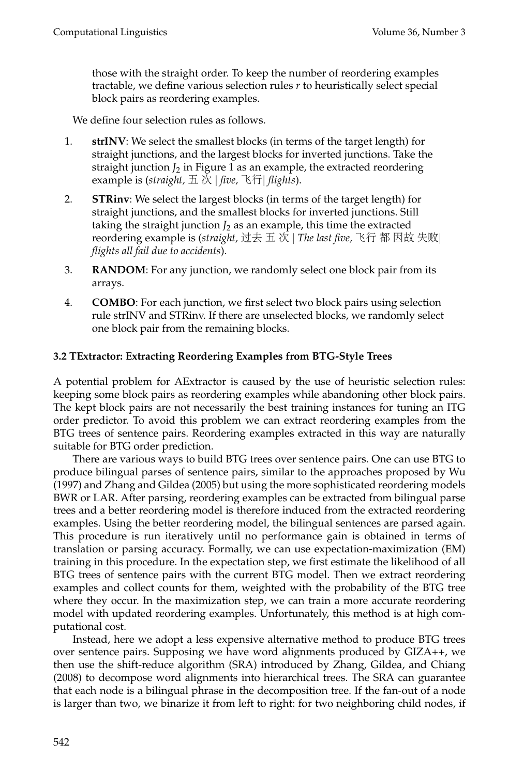those with the straight order. To keep the number of reordering examples tractable, we define various selection rules *r* to heuristically select special block pairs as reordering examples.

We define four selection rules as follows.

- 1. **strINV**: We select the smallest blocks (in terms of the target length) for straight junctions, and the largest blocks for inverted junctions. Take the straight junction  $J_2$  in Figure 1 as an example, the extracted reordering example is (*straight,* 五次 | *five,* 飞行| *flights*).
- 2. **STRinv**: We select the largest blocks (in terms of the target length) for straight junctions, and the smallest blocks for inverted junctions. Still taking the straight junction  *as an example, this time the extracted* reordering example is (*straight,* 过去 五 次 | *The last five,* 飞行 都 因故 失败| *flights all fail due to accidents*).
- 3. **RANDOM**: For any junction, we randomly select one block pair from its arrays.
- 4. **COMBO**: For each junction, we first select two block pairs using selection rule strINV and STRinv. If there are unselected blocks, we randomly select one block pair from the remaining blocks.

### **3.2 TExtractor: Extracting Reordering Examples from BTG-Style Trees**

A potential problem for AExtractor is caused by the use of heuristic selection rules: keeping some block pairs as reordering examples while abandoning other block pairs. The kept block pairs are not necessarily the best training instances for tuning an ITG order predictor. To avoid this problem we can extract reordering examples from the BTG trees of sentence pairs. Reordering examples extracted in this way are naturally suitable for BTG order prediction.

There are various ways to build BTG trees over sentence pairs. One can use BTG to produce bilingual parses of sentence pairs, similar to the approaches proposed by Wu (1997) and Zhang and Gildea (2005) but using the more sophisticated reordering models BWR or LAR. After parsing, reordering examples can be extracted from bilingual parse trees and a better reordering model is therefore induced from the extracted reordering examples. Using the better reordering model, the bilingual sentences are parsed again. This procedure is run iteratively until no performance gain is obtained in terms of translation or parsing accuracy. Formally, we can use expectation-maximization (EM) training in this procedure. In the expectation step, we first estimate the likelihood of all BTG trees of sentence pairs with the current BTG model. Then we extract reordering examples and collect counts for them, weighted with the probability of the BTG tree where they occur. In the maximization step, we can train a more accurate reordering model with updated reordering examples. Unfortunately, this method is at high computational cost.

Instead, here we adopt a less expensive alternative method to produce BTG trees over sentence pairs. Supposing we have word alignments produced by GIZA++, we then use the shift-reduce algorithm (SRA) introduced by Zhang, Gildea, and Chiang (2008) to decompose word alignments into hierarchical trees. The SRA can guarantee that each node is a bilingual phrase in the decomposition tree. If the fan-out of a node is larger than two, we binarize it from left to right: for two neighboring child nodes, if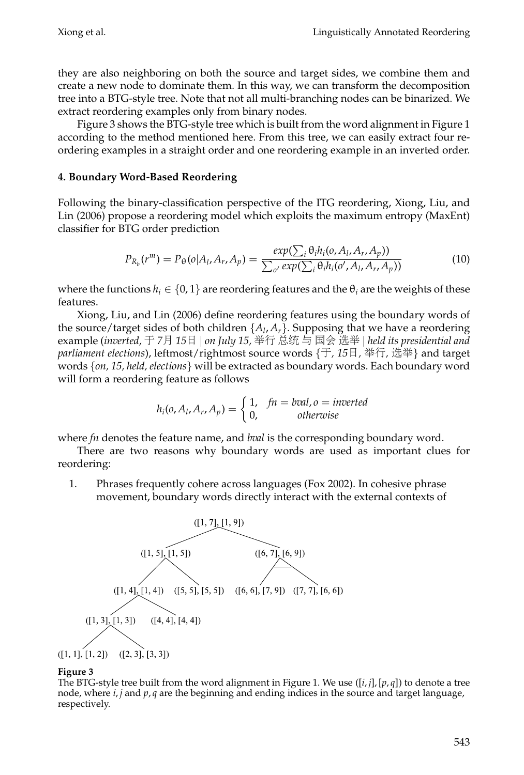they are also neighboring on both the source and target sides, we combine them and create a new node to dominate them. In this way, we can transform the decomposition tree into a BTG-style tree. Note that not all multi-branching nodes can be binarized. We extract reordering examples only from binary nodes.

Figure 3 shows the BTG-style tree which is built from the word alignment in Figure 1 according to the method mentioned here. From this tree, we can easily extract four reordering examples in a straight order and one reordering example in an inverted order.

#### **4. Boundary Word-Based Reordering**

Following the binary-classification perspective of the ITG reordering, Xiong, Liu, and Lin (2006) propose a reordering model which exploits the maximum entropy (MaxEnt) classifier for BTG order prediction

$$
P_{R_b}(r^m) = P_{\theta}(o|A_l, A_r, A_p) = \frac{exp(\sum_i \theta_i h_i(o, A_l, A_r, A_p))}{\sum_{o'} exp(\sum_i \theta_i h_i(o', A_l, A_r, A_p))}
$$
(10)

where the functions  $h_i \in \{0, 1\}$  are reordering features and the  $\theta_i$  are the weights of these features.

Xiong, Liu, and Lin (2006) define reordering features using the boundary words of the source/target sides of both children  $\{A_l, A_r\}$ . Supposing that we have a reordering example (inverted, 于 7月 15日 | on July 15, 举行 总统 与 国会 选举 | held its presidential and *parliament elections*), leftmost/rightmost source words {*, 15,* -*,* } and target words {*on, 15, held, elections*} will be extracted as boundary words. Each boundary word will form a reordering feature as follows

$$
h_i(o, A_l, A_r, A_p) = \begin{cases} 1, & \text{if } n = \text{bval}, o = \text{inverted} \\ 0, & \text{otherwise} \end{cases}
$$

where *fn* denotes the feature name, and *bval* is the corresponding boundary word.

There are two reasons why boundary words are used as important clues for reordering:

1. Phrases frequently cohere across languages (Fox 2002). In cohesive phrase movement, boundary words directly interact with the external contexts of



#### **Figure 3**

The BTG-style tree built from the word alignment in Figure 1. We use ( $[i, j]$ ,  $[p, q]$ ) to denote a tree node, where *i*, *j* and *p*, *q* are the beginning and ending indices in the source and target language, respectively.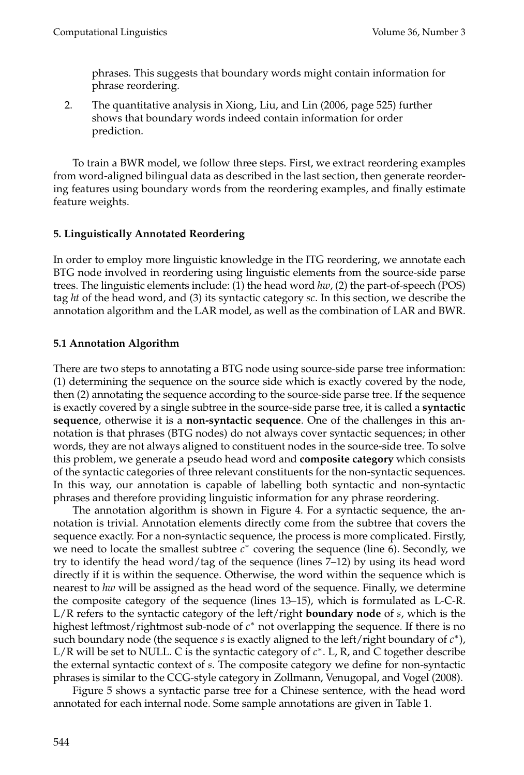phrases. This suggests that boundary words might contain information for phrase reordering.

2. The quantitative analysis in Xiong, Liu, and Lin (2006, page 525) further shows that boundary words indeed contain information for order prediction.

To train a BWR model, we follow three steps. First, we extract reordering examples from word-aligned bilingual data as described in the last section, then generate reordering features using boundary words from the reordering examples, and finally estimate feature weights.

### **5. Linguistically Annotated Reordering**

In order to employ more linguistic knowledge in the ITG reordering, we annotate each BTG node involved in reordering using linguistic elements from the source-side parse trees. The linguistic elements include: (1) the head word *hw*, (2) the part-of-speech (POS) tag *ht* of the head word, and (3) its syntactic category *sc*. In this section, we describe the annotation algorithm and the LAR model, as well as the combination of LAR and BWR.

### **5.1 Annotation Algorithm**

There are two steps to annotating a BTG node using source-side parse tree information: (1) determining the sequence on the source side which is exactly covered by the node, then (2) annotating the sequence according to the source-side parse tree. If the sequence is exactly covered by a single subtree in the source-side parse tree, it is called a **syntactic sequence**, otherwise it is a **non-syntactic sequence**. One of the challenges in this annotation is that phrases (BTG nodes) do not always cover syntactic sequences; in other words, they are not always aligned to constituent nodes in the source-side tree. To solve this problem, we generate a pseudo head word and **composite category** which consists of the syntactic categories of three relevant constituents for the non-syntactic sequences. In this way, our annotation is capable of labelling both syntactic and non-syntactic phrases and therefore providing linguistic information for any phrase reordering.

The annotation algorithm is shown in Figure 4. For a syntactic sequence, the annotation is trivial. Annotation elements directly come from the subtree that covers the sequence exactly. For a non-syntactic sequence, the process is more complicated. Firstly, we need to locate the smallest subtree *c*∗ covering the sequence (line 6). Secondly, we try to identify the head word/tag of the sequence (lines 7–12) by using its head word directly if it is within the sequence. Otherwise, the word within the sequence which is nearest to *hw* will be assigned as the head word of the sequence. Finally, we determine the composite category of the sequence (lines 13–15), which is formulated as L-C-R. L/R refers to the syntactic category of the left/right **boundary node** of *s*, which is the highest leftmost/rightmost sub-node of *c*∗ not overlapping the sequence. If there is no such boundary node (the sequence *s* is exactly aligned to the left/right boundary of *c*∗), L/R will be set to NULL. C is the syntactic category of *c*∗. L, R, and C together describe the external syntactic context of *s*. The composite category we define for non-syntactic phrases is similar to the CCG-style category in Zollmann, Venugopal, and Vogel (2008).

Figure 5 shows a syntactic parse tree for a Chinese sentence, with the head word annotated for each internal node. Some sample annotations are given in Table 1.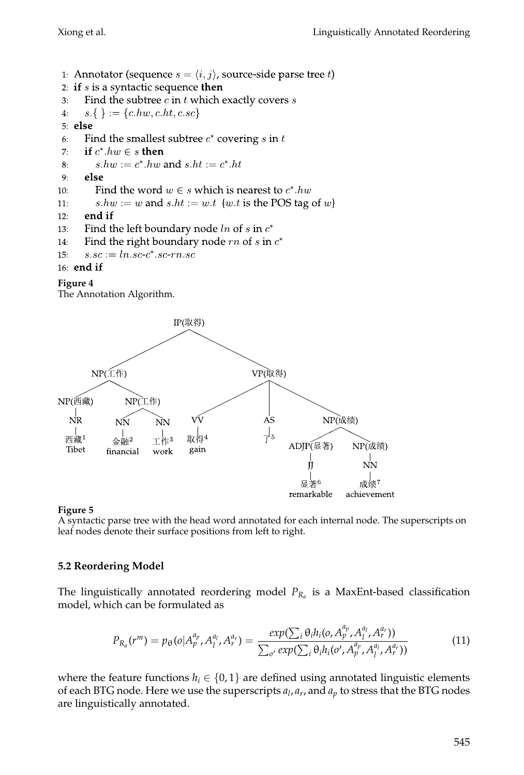- 1: Annotator (sequence  $s = \langle i, j \rangle$ , source-side parse tree t)
- 2: if  $s$  is a syntactic sequence then
- Find the subtree  $c$  in  $t$  which exactly covers  $s$  $3:$

```
s.\{\} := \{c.hw, c.ht, c.sc\}4:
```
 $5:$  else

- Find the smallest subtree  $c^*$  covering  $s$  in  $t$ 6:
- if  $c^*$ . $hw \in s$  then 7:
- $s.hw := c^* \cdot hw$  and  $s.ht := c^* \cdot ht$ 8:
- else 9:
- Find the word  $w \in s$  which is nearest to  $c^*$ .*hw*  $10:$
- $s.hw := w$  and  $s.ht := w.t$  {w.t is the POS tag of w}  $11:$
- end if  $12:$

```
Find the left boundary node ln of s in c^*13:
```
- Find the right boundary node  $rn$  of  $s$  in  $c^*$ 14:
- $s.sc := ln.sc\text{-}c^*.sc\text{-}rn.sc$  $15:$

### $16:$  end if

### **Figure 4**

The Annotation Algorithm.



#### **Figure 5**

A syntactic parse tree with the head word annotated for each internal node. The superscripts on leaf nodes denote their surface positions from left to right.

### **5.2 Reordering Model**

The linguistically annotated reordering model  $P_{R_a}$  is a MaxEnt-based classification model, which can be formulated as

$$
P_{R_a}(r^m) = p_{\theta}(o|A_p^{a_p}, A_l^{a_l}, A_r^{a_r}) = \frac{exp(\sum_i \theta_i h_i(o, A_p^{a_p}, A_l^{a_l}, A_r^{a_r}))}{\sum_{o'} exp(\sum_i \theta_i h_i(o', A_p^{a_p}, A_l^{a_l}, A_r^{a_r}))}
$$
(11)

where the feature functions  $h_i \in \{0,1\}$  are defined using annotated linguistic elements of each BTG node. Here we use the superscripts *al*, *ar*, and *ap* to stress that the BTG nodes are linguistically annotated.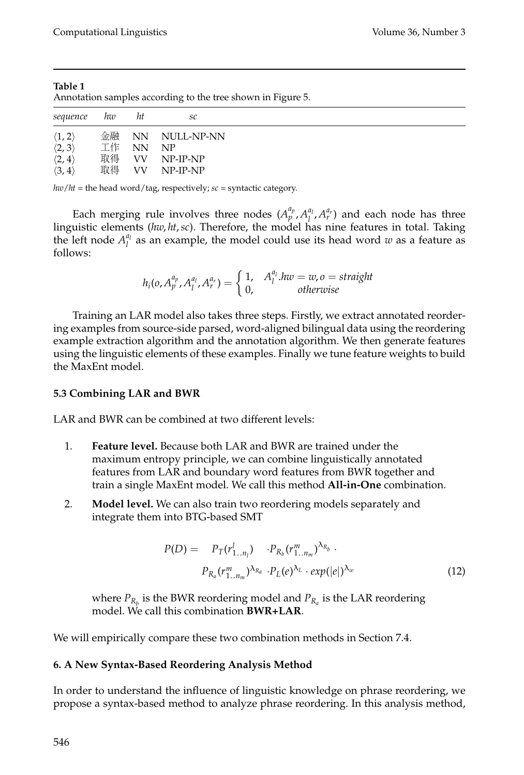|                                                                                                      |                      |                        |                                                    | Annotation samples according to the tree shown in Figure 5. |
|------------------------------------------------------------------------------------------------------|----------------------|------------------------|----------------------------------------------------|-------------------------------------------------------------|
| sequence                                                                                             | hw                   | ht                     | sc                                                 |                                                             |
| $\langle 1, 2 \rangle$<br>$\langle 2, 3 \rangle$<br>$\langle 2, 4 \rangle$<br>$\langle 3, 4 \rangle$ | 金融<br>工作<br>取得<br>取得 | NN.<br><b>VV</b><br>VV | NN NULL-NP-NN<br><b>NP</b><br>NP-IP-NP<br>NP-IP-NP |                                                             |

**Table 1** Annotation samples according to the tree shown in Figure 5.

*hw*/*ht* = the head word/tag, respectively; *sc* = syntactic category.

Each merging rule involves three nodes  $(A_p^{a_p}, A_l^{a_l}, A_r^{a_r})$  and each node has three linguistic elements (*hw*, *ht*,*sc*). Therefore, the model has nine features in total. Taking the left node  $A_l^{a_l}$  as an example, the model could use its head word *w* as a feature as follows:

$$
h_i(o, A_p^{a_p}, A_l^{a_l}, A_r^{a_r}) = \begin{cases} 1, & A_l^{a_l}.hw = w, o = straight \\ 0, & otherwise \end{cases}
$$

Training an LAR model also takes three steps. Firstly, we extract annotated reordering examples from source-side parsed, word-aligned bilingual data using the reordering example extraction algorithm and the annotation algorithm. We then generate features using the linguistic elements of these examples. Finally we tune feature weights to build the MaxEnt model.

### **5.3 Combining LAR and BWR**

LAR and BWR can be combined at two different levels:

- 1. **Feature level.** Because both LAR and BWR are trained under the maximum entropy principle, we can combine linguistically annotated features from LAR and boundary word features from BWR together and train a single MaxEnt model. We call this method **All-in-One** combination.
- 2. **Model level.** We can also train two reordering models separately and integrate them into BTG-based SMT

$$
P(D) = P_T(r_{1..n_l}^l) \cdot P_{R_b}(r_{1..n_m}^m)^{\lambda_{R_b}} \cdot P_{R_a}(r_{1..n_m}^m)^{\lambda_{R_a}} \cdot P_L(e)^{\lambda_L} \cdot exp(|e|)^{\lambda_w}
$$
\n
$$
(12)
$$

where  $P_{R_h}$  is the BWR reordering model and  $P_{R_a}$  is the LAR reordering model. We call this combination **BWR+LAR**.

We will empirically compare these two combination methods in Section 7.4.

### **6. A New Syntax-Based Reordering Analysis Method**

In order to understand the influence of linguistic knowledge on phrase reordering, we propose a syntax-based method to analyze phrase reordering. In this analysis method,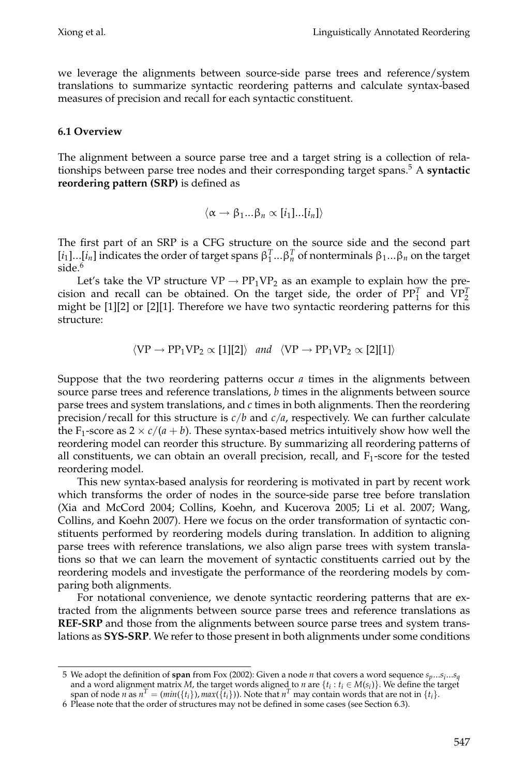we leverage the alignments between source-side parse trees and reference/system translations to summarize syntactic reordering patterns and calculate syntax-based measures of precision and recall for each syntactic constituent.

#### **6.1 Overview**

The alignment between a source parse tree and a target string is a collection of relationships between parse tree nodes and their corresponding target spans.<sup>5</sup> A **syntactic reordering pattern (SRP)** is defined as

$$
\langle \alpha \rightarrow \beta_1...\beta_n \propto [i_1]...[i_n] \rangle
$$

The first part of an SRP is a CFG structure on the source side and the second part [*i*1]...[*in*] indicates the order of target spans β*<sup>T</sup>* <sup>1</sup> ...β*<sup>T</sup> <sup>n</sup>* of nonterminals β1...β*<sup>n</sup>* on the target side.<sup>6</sup>

Let's take the VP structure  $VP \rightarrow PP_1VP_2$  as an example to explain how the precision and recall can be obtained. On the target side, the order of  $PP_1^T$  and  $VP_2^T$ might be [1][2] or [2][1]. Therefore we have two syntactic reordering patterns for this structure:

 $\langle VP \rightarrow PP_1VP_2 \propto [1][2] \rangle$  *and*  $\langle VP \rightarrow PP_1VP_2 \propto [2][1] \rangle$ 

Suppose that the two reordering patterns occur *a* times in the alignments between source parse trees and reference translations, *b* times in the alignments between source parse trees and system translations, and *c* times in both alignments. Then the reordering precision/recall for this structure is *c*/*b* and *c*/*a*, respectively. We can further calculate the F<sub>1</sub>-score as  $2 \times c/(a + b)$ . These syntax-based metrics intuitively show how well the reordering model can reorder this structure. By summarizing all reordering patterns of all constituents, we can obtain an overall precision, recall, and  $F_1$ -score for the tested reordering model.

This new syntax-based analysis for reordering is motivated in part by recent work which transforms the order of nodes in the source-side parse tree before translation (Xia and McCord 2004; Collins, Koehn, and Kucerova 2005; Li et al. 2007; Wang, Collins, and Koehn 2007). Here we focus on the order transformation of syntactic constituents performed by reordering models during translation. In addition to aligning parse trees with reference translations, we also align parse trees with system translations so that we can learn the movement of syntactic constituents carried out by the reordering models and investigate the performance of the reordering models by comparing both alignments.

For notational convenience, we denote syntactic reordering patterns that are extracted from the alignments between source parse trees and reference translations as **REF-SRP** and those from the alignments between source parse trees and system translations as **SYS-SRP**. We refer to those present in both alignments under some conditions

<sup>5</sup> We adopt the definition of **span** from Fox (2002): Given a node *n* that covers a word sequence *sp*...*si*...*sq* and a word alignment matrix *M*, the target words aligned to *n* are { $t_i : t_i \in M(s_i)$ }. We define the target span of node *n* as  $n^T = (min({t_i}), max({t_i})).$  Note that  $n^T$  may contain words that are not in  $\{t_i\}$ .

<sup>6</sup> Please note that the order of structures may not be defined in some cases (see Section 6.3).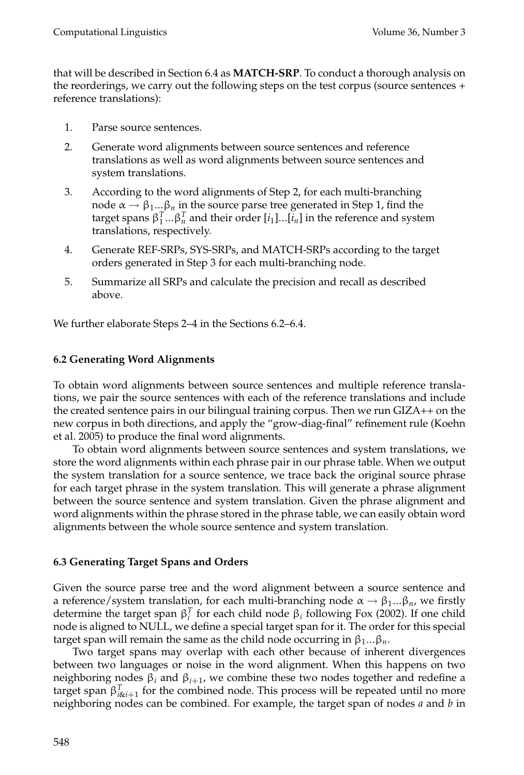that will be described in Section 6.4 as **MATCH-SRP**. To conduct a thorough analysis on the reorderings, we carry out the following steps on the test corpus (source sentences + reference translations):

- 1. Parse source sentences.
- 2. Generate word alignments between source sentences and reference translations as well as word alignments between source sentences and system translations.
- 3. According to the word alignments of Step 2, for each multi-branching node  $\alpha \rightarrow \beta_1...\beta_n$  in the source parse tree generated in Step 1, find the target spans  $β_1^T...β_n^T$  and their order  $[i_1]...[i_n]$  in the reference and system translations, respectively.
- 4. Generate REF-SRPs, SYS-SRPs, and MATCH-SRPs according to the target orders generated in Step 3 for each multi-branching node.
- 5. Summarize all SRPs and calculate the precision and recall as described above.

We further elaborate Steps 2–4 in the Sections 6.2–6.4.

### **6.2 Generating Word Alignments**

To obtain word alignments between source sentences and multiple reference translations, we pair the source sentences with each of the reference translations and include the created sentence pairs in our bilingual training corpus. Then we run GIZA++ on the new corpus in both directions, and apply the "grow-diag-final" refinement rule (Koehn et al. 2005) to produce the final word alignments.

To obtain word alignments between source sentences and system translations, we store the word alignments within each phrase pair in our phrase table. When we output the system translation for a source sentence, we trace back the original source phrase for each target phrase in the system translation. This will generate a phrase alignment between the source sentence and system translation. Given the phrase alignment and word alignments within the phrase stored in the phrase table, we can easily obtain word alignments between the whole source sentence and system translation.

### **6.3 Generating Target Spans and Orders**

Given the source parse tree and the word alignment between a source sentence and a reference/system translation, for each multi-branching node  $\alpha \rightarrow \beta_1...\beta_n$ , we firstly determine the target span  $\beta_i^T$  for each child node  $\beta_i$  following Fox (2002). If one child node is aligned to NULL, we define a special target span for it. The order for this special target span will remain the same as the child node occurring in  $\beta_1...\beta_n$ .

Two target spans may overlap with each other because of inherent divergences between two languages or noise in the word alignment. When this happens on two neighboring nodes  $β<sub>i</sub>$  and  $β<sub>i+1</sub>$ , we combine these two nodes together and redefine a target span  $\beta_{i\&i+1}^T$  for the combined node. This process will be repeated until no more neighboring nodes can be combined. For example, the target span of nodes *a* and *b* in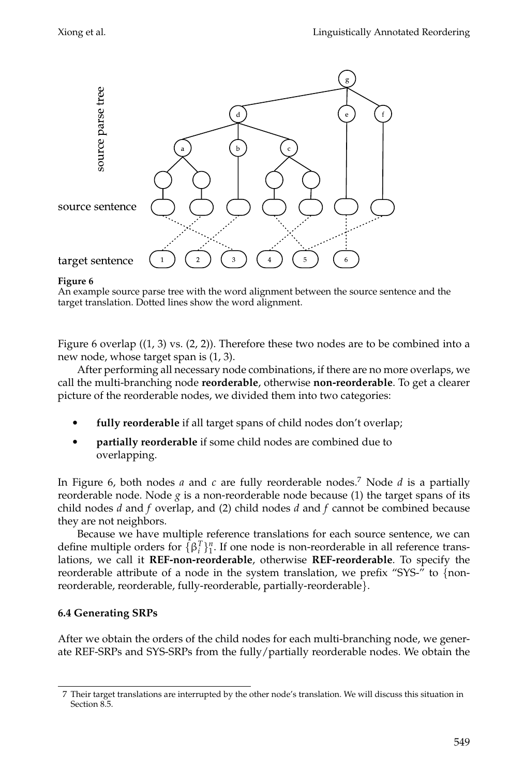

#### **Figure 6**

An example source parse tree with the word alignment between the source sentence and the target translation. Dotted lines show the word alignment.

Figure 6 overlap  $((1, 3)$  vs.  $(2, 2))$ . Therefore these two nodes are to be combined into a new node, whose target span is (1, 3).

After performing all necessary node combinations, if there are no more overlaps, we call the multi-branching node **reorderable**, otherwise **non-reorderable**. To get a clearer picture of the reorderable nodes, we divided them into two categories:

- **fully reorderable** if all target spans of child nodes don't overlap;
- **partially reorderable** if some child nodes are combined due to overlapping.

In Figure 6, both nodes *a* and *c* are fully reorderable nodes.<sup>7</sup> Node *d* is a partially reorderable node. Node *g* is a non-reorderable node because (1) the target spans of its child nodes *d* and *f* overlap, and (2) child nodes *d* and *f* cannot be combined because they are not neighbors.

Because we have multiple reference translations for each source sentence, we can define multiple orders for  $\{\beta_i^T\}_{1}^n$ . If one node is non-reorderable in all reference translations, we call it **REF-non-reorderable**, otherwise **REF-reorderable**. To specify the reorderable attribute of a node in the system translation, we prefix "SYS-" to {nonreorderable, reorderable, fully-reorderable, partially-reorderable}.

#### **6.4 Generating SRPs**

After we obtain the orders of the child nodes for each multi-branching node, we generate REF-SRPs and SYS-SRPs from the fully/partially reorderable nodes. We obtain the

<sup>7</sup> Their target translations are interrupted by the other node's translation. We will discuss this situation in Section 8.5.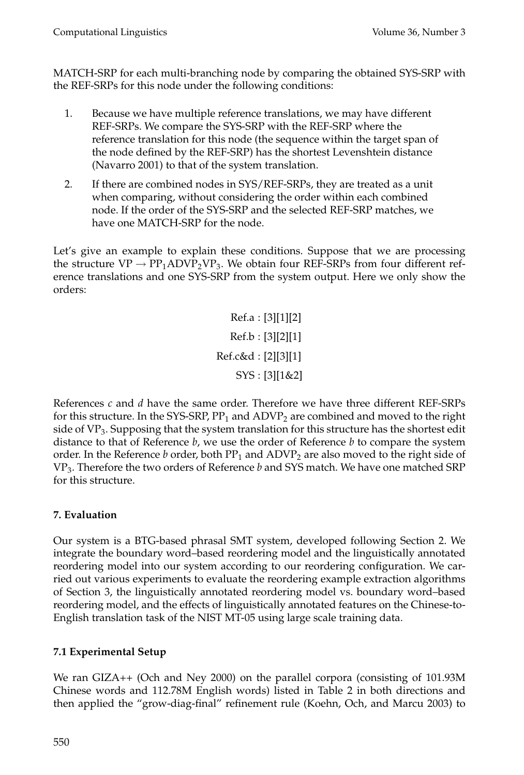MATCH-SRP for each multi-branching node by comparing the obtained SYS-SRP with the REF-SRPs for this node under the following conditions:

- 1. Because we have multiple reference translations, we may have different REF-SRPs. We compare the SYS-SRP with the REF-SRP where the reference translation for this node (the sequence within the target span of the node defined by the REF-SRP) has the shortest Levenshtein distance (Navarro 2001) to that of the system translation.
- 2. If there are combined nodes in SYS/REF-SRPs, they are treated as a unit when comparing, without considering the order within each combined node. If the order of the SYS-SRP and the selected REF-SRP matches, we have one MATCH-SRP for the node.

Let's give an example to explain these conditions. Suppose that we are processing the structure  $VP \rightarrow PP_1ADVP_2VP_3$ . We obtain four REF-SRPs from four different reference translations and one SYS-SRP from the system output. Here we only show the orders:

> Ref.a : [3][1][2] Ref.b : [3][2][1] Ref.c&d : [2][3][1] SYS : [3][1&2]

References *c* and *d* have the same order. Therefore we have three different REF-SRPs for this structure. In the SYS-SRP,  $PP_1$  and  $ADVP_2$  are combined and moved to the right side of  $VP<sub>3</sub>$ . Supposing that the system translation for this structure has the shortest edit distance to that of Reference *b*, we use the order of Reference *b* to compare the system order. In the Reference *b* order, both  $PP_1$  and  $ADVP_2$  are also moved to the right side of VP3. Therefore the two orders of Reference *b* and SYS match. We have one matched SRP for this structure.

# **7. Evaluation**

Our system is a BTG-based phrasal SMT system, developed following Section 2. We integrate the boundary word–based reordering model and the linguistically annotated reordering model into our system according to our reordering configuration. We carried out various experiments to evaluate the reordering example extraction algorithms of Section 3, the linguistically annotated reordering model vs. boundary word–based reordering model, and the effects of linguistically annotated features on the Chinese-to-English translation task of the NIST MT-05 using large scale training data.

# **7.1 Experimental Setup**

We ran GIZA++ (Och and Ney 2000) on the parallel corpora (consisting of 101.93M Chinese words and 112.78M English words) listed in Table 2 in both directions and then applied the "grow-diag-final" refinement rule (Koehn, Och, and Marcu 2003) to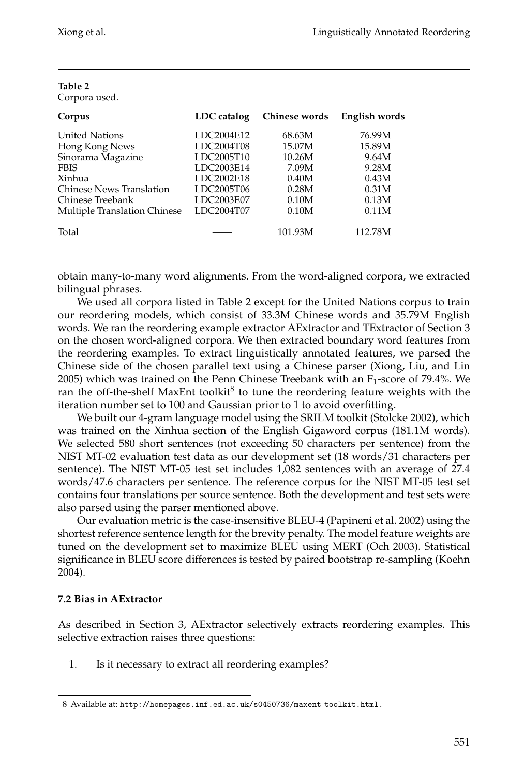| Corpus                          | LDC catalog | Chinese words | English words |
|---------------------------------|-------------|---------------|---------------|
| <b>United Nations</b>           | LDC2004E12  | 68.63M        | 76.99M        |
| Hong Kong News                  | LDC2004T08  | 15.07M        | 15.89M        |
| Sinorama Magazine               | LDC2005T10  | 10.26M        | 9.64M         |
| <b>FBIS</b>                     | LDC2003E14  | 7.09M         | 9.28M         |
| Xinhua                          | LDC2002E18  | 0.40M         | 0.43M         |
| <b>Chinese News Translation</b> | LDC2005T06  | 0.28M         | 0.31M         |
| Chinese Treebank                | LDC2003E07  | 0.10M         | 0.13M         |
| Multiple Translation Chinese    | LDC2004T07  | 0.10M         | 0.11M         |
|                                 |             |               |               |
| Total                           |             | 101.93M       | 112.78M       |

Corpora used.

obtain many-to-many word alignments. From the word-aligned corpora, we extracted bilingual phrases.

We used all corpora listed in Table 2 except for the United Nations corpus to train our reordering models, which consist of 33.3M Chinese words and 35.79M English words. We ran the reordering example extractor AExtractor and TExtractor of Section 3 on the chosen word-aligned corpora. We then extracted boundary word features from the reordering examples. To extract linguistically annotated features, we parsed the Chinese side of the chosen parallel text using a Chinese parser (Xiong, Liu, and Lin 2005) which was trained on the Penn Chinese Treebank with an  $F_1$ -score of 79.4%. We ran the off-the-shelf MaxEnt toolkit<sup>8</sup> to tune the reordering feature weights with the iteration number set to 100 and Gaussian prior to 1 to avoid overfitting.

We built our 4-gram language model using the SRILM toolkit (Stolcke 2002), which was trained on the Xinhua section of the English Gigaword corpus (181.1M words). We selected 580 short sentences (not exceeding 50 characters per sentence) from the NIST MT-02 evaluation test data as our development set (18 words/31 characters per sentence). The NIST MT-05 test set includes 1,082 sentences with an average of 27.4 words/47.6 characters per sentence. The reference corpus for the NIST MT-05 test set contains four translations per source sentence. Both the development and test sets were also parsed using the parser mentioned above.

Our evaluation metric is the case-insensitive BLEU-4 (Papineni et al. 2002) using the shortest reference sentence length for the brevity penalty. The model feature weights are tuned on the development set to maximize BLEU using MERT (Och 2003). Statistical significance in BLEU score differences is tested by paired bootstrap re-sampling (Koehn 2004).

# **7.2 Bias in AExtractor**

As described in Section 3, AExtractor selectively extracts reordering examples. This selective extraction raises three questions:

1. Is it necessary to extract all reordering examples?

<sup>8</sup> Available at: http://homepages.inf.ed.ac.uk/s0450736/maxent toolkit.html.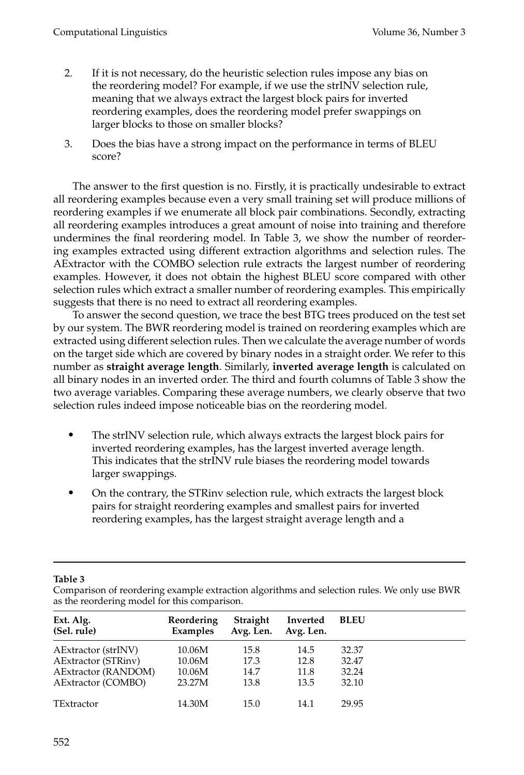- 2. If it is not necessary, do the heuristic selection rules impose any bias on the reordering model? For example, if we use the strINV selection rule, meaning that we always extract the largest block pairs for inverted reordering examples, does the reordering model prefer swappings on larger blocks to those on smaller blocks?
- 3. Does the bias have a strong impact on the performance in terms of BLEU score?

The answer to the first question is no. Firstly, it is practically undesirable to extract all reordering examples because even a very small training set will produce millions of reordering examples if we enumerate all block pair combinations. Secondly, extracting all reordering examples introduces a great amount of noise into training and therefore undermines the final reordering model. In Table 3, we show the number of reordering examples extracted using different extraction algorithms and selection rules. The AExtractor with the COMBO selection rule extracts the largest number of reordering examples. However, it does not obtain the highest BLEU score compared with other selection rules which extract a smaller number of reordering examples. This empirically suggests that there is no need to extract all reordering examples.

To answer the second question, we trace the best BTG trees produced on the test set by our system. The BWR reordering model is trained on reordering examples which are extracted using different selection rules. Then we calculate the average number of words on the target side which are covered by binary nodes in a straight order. We refer to this number as **straight average length**. Similarly, **inverted average length** is calculated on all binary nodes in an inverted order. The third and fourth columns of Table 3 show the two average variables. Comparing these average numbers, we clearly observe that two selection rules indeed impose noticeable bias on the reordering model.

- - The strINV selection rule, which always extracts the largest block pairs for inverted reordering examples, has the largest inverted average length. This indicates that the strINV rule biases the reordering model towards larger swappings.
- - On the contrary, the STRinv selection rule, which extracts the largest block pairs for straight reordering examples and smallest pairs for inverted reordering examples, has the largest straight average length and a

**Table 3**

Comparison of reordering example extraction algorithms and selection rules. We only use BWR as the reordering model for this comparison.

| Ext. Alg.<br>(Sel. rule)   | Reordering<br>Examples | Straight<br>Avg. Len. | Inverted<br>Avg. Len. | <b>BLEU</b> |
|----------------------------|------------------------|-----------------------|-----------------------|-------------|
| AExtractor (strINV)        | 10.06M                 | 15.8                  | 14.5                  | 32.37       |
| <b>AExtractor (STRiny)</b> | 10.06M                 | 17.3                  | 12.8                  | 32.47       |
| <b>AExtractor (RANDOM)</b> | 10.06M                 | 14.7                  | 11.8                  | 32.24       |
| <b>AExtractor (COMBO)</b>  | 23.27M                 | 13.8                  | 13.5                  | 32.10       |
|                            |                        |                       |                       |             |
| TExtractor                 | 14.30M                 | 15.0                  | 14.1                  | 29.95       |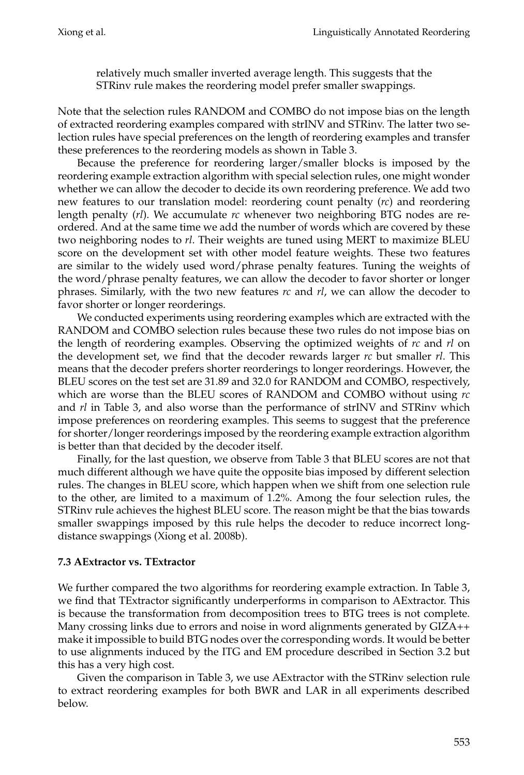relatively much smaller inverted average length. This suggests that the STRinv rule makes the reordering model prefer smaller swappings.

Note that the selection rules RANDOM and COMBO do not impose bias on the length of extracted reordering examples compared with strINV and STRinv. The latter two selection rules have special preferences on the length of reordering examples and transfer these preferences to the reordering models as shown in Table 3.

Because the preference for reordering larger/smaller blocks is imposed by the reordering example extraction algorithm with special selection rules, one might wonder whether we can allow the decoder to decide its own reordering preference. We add two new features to our translation model: reordering count penalty (*rc*) and reordering length penalty (*rl*). We accumulate *rc* whenever two neighboring BTG nodes are reordered. And at the same time we add the number of words which are covered by these two neighboring nodes to *rl*. Their weights are tuned using MERT to maximize BLEU score on the development set with other model feature weights. These two features are similar to the widely used word/phrase penalty features. Tuning the weights of the word/phrase penalty features, we can allow the decoder to favor shorter or longer phrases. Similarly, with the two new features *rc* and *rl*, we can allow the decoder to favor shorter or longer reorderings.

We conducted experiments using reordering examples which are extracted with the RANDOM and COMBO selection rules because these two rules do not impose bias on the length of reordering examples. Observing the optimized weights of *rc* and *rl* on the development set, we find that the decoder rewards larger *rc* but smaller *rl*. This means that the decoder prefers shorter reorderings to longer reorderings. However, the BLEU scores on the test set are 31.89 and 32.0 for RANDOM and COMBO, respectively, which are worse than the BLEU scores of RANDOM and COMBO without using *rc* and *rl* in Table 3, and also worse than the performance of strINV and STRinv which impose preferences on reordering examples. This seems to suggest that the preference for shorter/longer reorderings imposed by the reordering example extraction algorithm is better than that decided by the decoder itself.

Finally, for the last question, we observe from Table 3 that BLEU scores are not that much different although we have quite the opposite bias imposed by different selection rules. The changes in BLEU score, which happen when we shift from one selection rule to the other, are limited to a maximum of 1.2%. Among the four selection rules, the STRinv rule achieves the highest BLEU score. The reason might be that the bias towards smaller swappings imposed by this rule helps the decoder to reduce incorrect longdistance swappings (Xiong et al. 2008b).

### **7.3 AExtractor vs. TExtractor**

We further compared the two algorithms for reordering example extraction. In Table 3, we find that TExtractor significantly underperforms in comparison to AExtractor. This is because the transformation from decomposition trees to BTG trees is not complete. Many crossing links due to errors and noise in word alignments generated by GIZA++ make it impossible to build BTG nodes over the corresponding words. It would be better to use alignments induced by the ITG and EM procedure described in Section 3.2 but this has a very high cost.

Given the comparison in Table 3, we use AExtractor with the STRinv selection rule to extract reordering examples for both BWR and LAR in all experiments described below.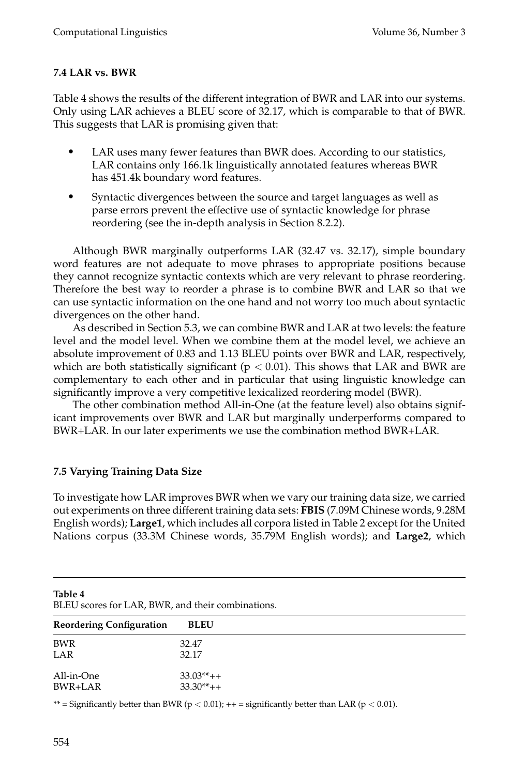### **7.4 LAR vs. BWR**

Table 4 shows the results of the different integration of BWR and LAR into our systems. Only using LAR achieves a BLEU score of 32.17, which is comparable to that of BWR. This suggests that LAR is promising given that:

- $\bullet$  LAR uses many fewer features than BWR does. According to our statistics, LAR contains only 166.1k linguistically annotated features whereas BWR has 451.4k boundary word features.
- - Syntactic divergences between the source and target languages as well as parse errors prevent the effective use of syntactic knowledge for phrase reordering (see the in-depth analysis in Section 8.2.2).

Although BWR marginally outperforms LAR (32.47 vs. 32.17), simple boundary word features are not adequate to move phrases to appropriate positions because they cannot recognize syntactic contexts which are very relevant to phrase reordering. Therefore the best way to reorder a phrase is to combine BWR and LAR so that we can use syntactic information on the one hand and not worry too much about syntactic divergences on the other hand.

As described in Section 5.3, we can combine BWR and LAR at two levels: the feature level and the model level. When we combine them at the model level, we achieve an absolute improvement of 0.83 and 1.13 BLEU points over BWR and LAR, respectively, which are both statistically significant ( $p < 0.01$ ). This shows that LAR and BWR are complementary to each other and in particular that using linguistic knowledge can significantly improve a very competitive lexicalized reordering model (BWR).

The other combination method All-in-One (at the feature level) also obtains significant improvements over BWR and LAR but marginally underperforms compared to BWR+LAR. In our later experiments we use the combination method BWR+LAR.

# **7.5 Varying Training Data Size**

To investigate how LAR improves BWR when we vary our training data size, we carried out experiments on three different training data sets: **FBIS** (7.09M Chinese words, 9.28M English words); **Large1**, which includes all corpora listed in Table 2 except for the United Nations corpus (33.3M Chinese words, 35.79M English words); and **Large2**, which

| Table 4<br>BLEU scores for LAR, BWR, and their combinations. |                |
|--------------------------------------------------------------|----------------|
| <b>Reordering Configuration</b>                              | <b>BLEU</b>    |
| <b>BWR</b>                                                   | 32.47          |
| LAR                                                          | 32.17          |
| All-in-One                                                   | $33.03^{**}++$ |
| BWR+LAR                                                      | $33.30***++$   |

\*\* = Significantly better than BWR ( $p < 0.01$ ); ++ = significantly better than LAR ( $p < 0.01$ ).

**Table 4**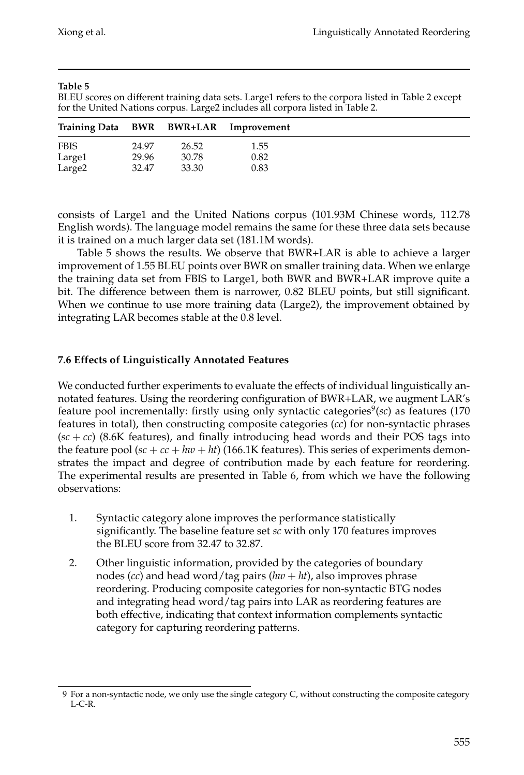BLEU scores on different training data sets. Large1 refers to the corpora listed in Table 2 except for the United Nations corpus. Large2 includes all corpora listed in Table 2.

| Training Data BWR BWR+LAR Improvement |                |                |              |  |
|---------------------------------------|----------------|----------------|--------------|--|
| <b>FBIS</b><br>Large1                 | 24.97<br>29.96 | 26.52<br>30.78 | 1.55<br>0.82 |  |
| Large <sub>2</sub>                    | 32.47          | 33.30          | 0.83         |  |

consists of Large1 and the United Nations corpus (101.93M Chinese words, 112.78 English words). The language model remains the same for these three data sets because it is trained on a much larger data set (181.1M words).

Table 5 shows the results. We observe that BWR+LAR is able to achieve a larger improvement of 1.55 BLEU points over BWR on smaller training data. When we enlarge the training data set from FBIS to Large1, both BWR and BWR+LAR improve quite a bit. The difference between them is narrower, 0.82 BLEU points, but still significant. When we continue to use more training data (Large2), the improvement obtained by integrating LAR becomes stable at the 0.8 level.

### **7.6 Effects of Linguistically Annotated Features**

We conducted further experiments to evaluate the effects of individual linguistically annotated features. Using the reordering configuration of BWR+LAR, we augment LAR's feature pool incrementally: firstly using only syntactic categories<sup>9</sup>( $\epsilon$ *c*) as features (170 features in total), then constructing composite categories (*cc*) for non-syntactic phrases  $(\epsilon c + c c)$  (8.6K features), and finally introducing head words and their POS tags into the feature pool ( $sc + cc + hw + ht$ ) (166.1K features). This series of experiments demonstrates the impact and degree of contribution made by each feature for reordering. The experimental results are presented in Table 6, from which we have the following observations:

- 1. Syntactic category alone improves the performance statistically significantly. The baseline feature set *sc* with only 170 features improves the BLEU score from 32.47 to 32.87.
- 2. Other linguistic information, provided by the categories of boundary nodes (*cc*) and head word/tag pairs (*hw* + *ht*), also improves phrase reordering. Producing composite categories for non-syntactic BTG nodes and integrating head word/tag pairs into LAR as reordering features are both effective, indicating that context information complements syntactic category for capturing reordering patterns.

<sup>9</sup> For a non-syntactic node, we only use the single category C, without constructing the composite category L-C-R.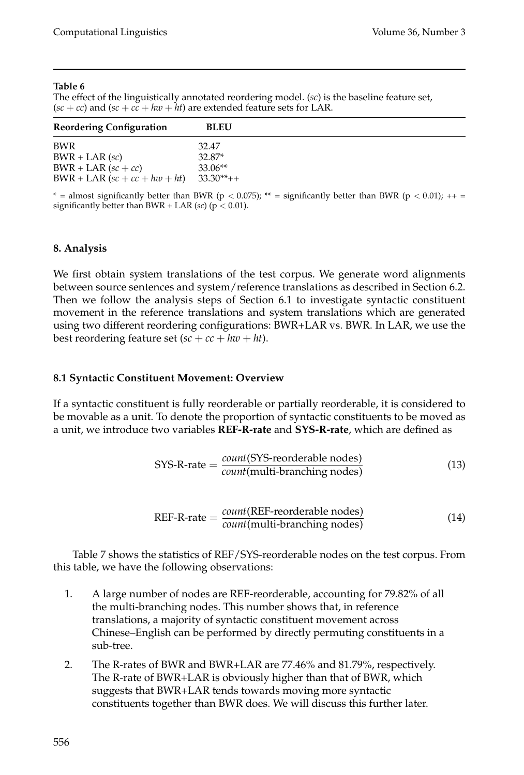The effect of the linguistically annotated reordering model. (*sc*) is the baseline feature set,  $(sc + cc)$  and  $(se + cc + hw + ht)$  are extended feature sets for LAR.

| <b>Reordering Configuration</b> | <b>BLEU</b>    |  |
|---------------------------------|----------------|--|
| BWR                             | 32.47          |  |
| $BWR + LAR$ (sc)                | 32.87*         |  |
| $BWR + LAR$ (sc + cc)           | $33.06**$      |  |
| $BWR + LAR$ (sc + cc + hw + ht) | $33.30^{**}++$ |  |

\* = almost significantly better than BWR (p < 0.075); \*\* = significantly better than BWR (p < 0.01); ++ = significantly better than BWR + LAR ( $\epsilon c$ ) ( $p < 0.01$ ).

### **8. Analysis**

We first obtain system translations of the test corpus. We generate word alignments between source sentences and system/reference translations as described in Section 6.2. Then we follow the analysis steps of Section 6.1 to investigate syntactic constituent movement in the reference translations and system translations which are generated using two different reordering configurations: BWR+LAR vs. BWR. In LAR, we use the best reordering feature set  $(*x* + *cc* + *hw* + *ht*).$ 

### **8.1 Syntactic Constituent Movement: Overview**

If a syntactic constituent is fully reorderable or partially reorderable, it is considered to be movable as a unit. To denote the proportion of syntactic constituents to be moved as a unit, we introduce two variables **REF-R-rate** and **SYS-R-rate**, which are defined as

$$
SYS-R-rate = \frac{count(SYS-reorderable nodes)}{count(multi-branching nodes)}
$$
(13)

$$
REF-R-rate = \frac{count(REF-reorderable nodes)}{count(multi-branching nodes)}
$$
(14)

Table 7 shows the statistics of REF/SYS-reorderable nodes on the test corpus. From this table, we have the following observations:

- 1. A large number of nodes are REF-reorderable, accounting for 79.82% of all the multi-branching nodes. This number shows that, in reference translations, a majority of syntactic constituent movement across Chinese–English can be performed by directly permuting constituents in a sub-tree.
- 2. The R-rates of BWR and BWR+LAR are 77.46% and 81.79%, respectively. The R-rate of BWR+LAR is obviously higher than that of BWR, which suggests that BWR+LAR tends towards moving more syntactic constituents together than BWR does. We will discuss this further later.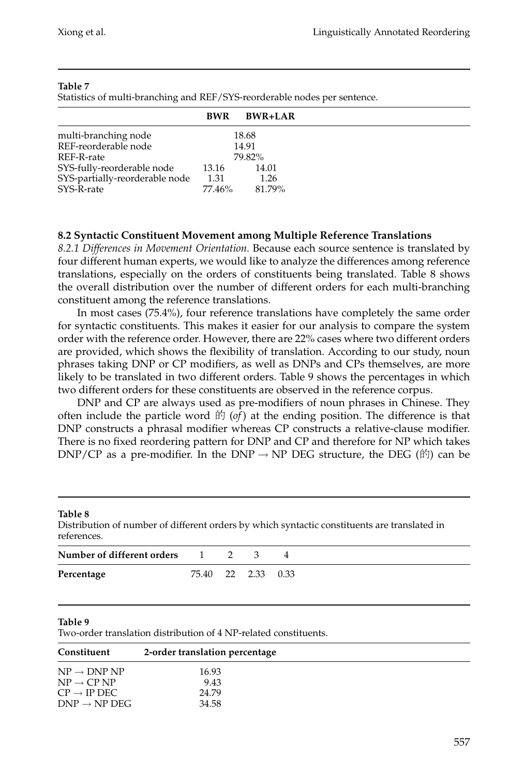| <b>BWR</b> | <b>BWR+LAR</b> |                          |  |
|------------|----------------|--------------------------|--|
|            |                |                          |  |
|            |                |                          |  |
|            |                |                          |  |
| 13.16      | 14.01          |                          |  |
| 1.31       | 1.26           |                          |  |
| 77.46%     | 81.79%         |                          |  |
|            |                | 18.68<br>14.91<br>79.82% |  |

Statistics of multi-branching and REF/SYS-reorderable nodes per sentence.

#### **8.2 Syntactic Constituent Movement among Multiple Reference Translations**

*8.2.1 Differences in Movement Orientation.* Because each source sentence is translated by four different human experts, we would like to analyze the differences among reference translations, especially on the orders of constituents being translated. Table 8 shows the overall distribution over the number of different orders for each multi-branching constituent among the reference translations.

In most cases (75.4%), four reference translations have completely the same order for syntactic constituents. This makes it easier for our analysis to compare the system order with the reference order. However, there are 22% cases where two different orders are provided, which shows the flexibility of translation. According to our study, noun phrases taking DNP or CP modifiers, as well as DNPs and CPs themselves, are more likely to be translated in two different orders. Table 9 shows the percentages in which two different orders for these constituents are observed in the reference corpus.

DNP and CP are always used as pre-modifiers of noun phrases in Chinese. They often include the particle word  $\hat{f}$  (*of*) at the ending position. The difference is that DNP constructs a phrasal modifier whereas CP constructs a relative-clause modifier. There is no fixed reordering pattern for DNP and CP and therefore for NP which takes DNP/CP as a pre-modifier. In the DNP  $\rightarrow$  NP DEG structure, the DEG ( $\sharp$ ) can be

**Table 8**

Distribution of number of different orders by which syntactic constituents are translated in references.

#### **Table 9**

Two-order translation distribution of 4 NP-related constituents.

| Constituent              | 2-order translation percentage |  |
|--------------------------|--------------------------------|--|
| $NP \rightarrow DNP NP$  | 16.93                          |  |
| $NP \rightarrow CP NP$   | 9.43                           |  |
| $CP \rightarrow IP$ DEC  | 24.79                          |  |
| $DNP \rightarrow NP DEG$ | 34.58                          |  |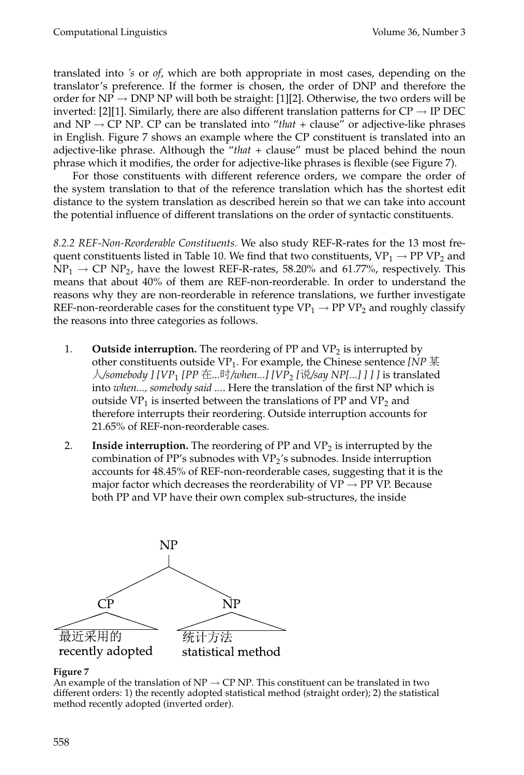translated into *'s* or *of*, which are both appropriate in most cases, depending on the translator's preference. If the former is chosen, the order of DNP and therefore the order for  $NP \rightarrow DNP$  NP will both be straight: [1][2]. Otherwise, the two orders will be inverted: [2][1]. Similarly, there are also different translation patterns for  $\text{CP} \rightarrow \text{IP DEC}$ and  $NP \rightarrow CP$  NP. CP can be translated into "*that* + clause" or adjective-like phrases in English. Figure 7 shows an example where the CP constituent is translated into an adjective-like phrase. Although the "*that* + clause" must be placed behind the noun phrase which it modifies, the order for adjective-like phrases is flexible (see Figure 7).

For those constituents with different reference orders, we compare the order of the system translation to that of the reference translation which has the shortest edit distance to the system translation as described herein so that we can take into account the potential influence of different translations on the order of syntactic constituents.

*8.2.2 REF-Non-Reorderable Constituents.* We also study REF-R-rates for the 13 most frequent constituents listed in Table 10. We find that two constituents,  $VP_1 \rightarrow PP VP_2$  and  $NP_1 \rightarrow CP \ NP_2$ , have the lowest REF-R-rates, 58.20% and 61.77%, respectively. This means that about 40% of them are REF-non-reorderable. In order to understand the reasons why they are non-reorderable in reference translations, we further investigate REF-non-reorderable cases for the constituent type  $VP_1 \rightarrow PP VP_2$  and roughly classify the reasons into three categories as follows.

- 1. **Outside interruption.** The reordering of PP and  $VP<sub>2</sub>$  is interrupted by other constituents outside  $VP_1$ . For example, the Chinese sentence *[NP* 某  $\bigwedge$ /somebody ] [VP<sub>1</sub> [PP 在...时/when...] [VP<sub>2</sub> [说/say NP[...] ] ] ] is translated into *when..., somebody said ...*. Here the translation of the first NP which is outside  $VP_1$  is inserted between the translations of PP and  $VP_2$  and therefore interrupts their reordering. Outside interruption accounts for 21.65% of REF-non-reorderable cases.
- 2. **Inside interruption.** The reordering of PP and  $VP<sub>2</sub>$  is interrupted by the combination of PP's subnodes with  $VP_2$ 's subnodes. Inside interruption accounts for 48.45% of REF-non-reorderable cases, suggesting that it is the major factor which decreases the reorderability of  $VP \rightarrow PP$  VP. Because both PP and VP have their own complex sub-structures, the inside



### **Figure 7**

An example of the translation of NP  $\rightarrow$  CP NP. This constituent can be translated in two different orders: 1) the recently adopted statistical method (straight order); 2) the statistical method recently adopted (inverted order).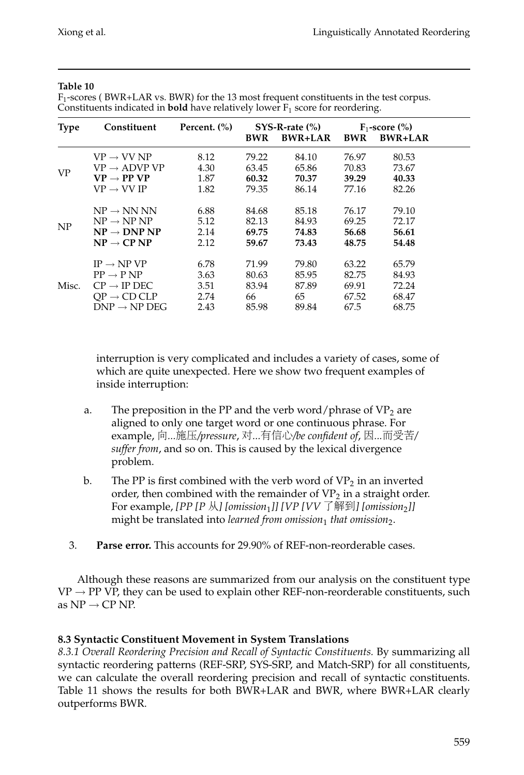$F_1$ -scores (BWR+LAR vs. BWR) for the 13 most frequent constituents in the test corpus. Constituents indicated in **bold** have relatively lower F<sub>1</sub> score for reordering.

| <b>Type</b> | Constituent                                                                                                                       | Percent. (%)                         | <b>BWR</b>                             | $SYS-R-rate$ $\frac{6}{6}$<br>BWR+LAR  | BWR                                      | $F_1$ -score $\left(\% \right)$<br><b>BWR+LAR</b> |  |
|-------------|-----------------------------------------------------------------------------------------------------------------------------------|--------------------------------------|----------------------------------------|----------------------------------------|------------------------------------------|---------------------------------------------------|--|
| <b>VP</b>   | $VP \rightarrow VV NP$<br>$VP \rightarrow ADVP VP$<br>$VP \rightarrow PP VP$<br>$VP \rightarrow VVIP$                             | 8.12<br>4.30<br>1.87<br>1.82         | 79.22<br>63.45<br>60.32<br>79.35       | 84.10<br>65.86<br>70.37<br>86.14       | 76.97<br>70.83<br>39.29<br>77.16         | 80.53<br>73.67<br>40.33<br>82.26                  |  |
| NP          | $NP \rightarrow NN NN$<br>$NP \rightarrow NP NP$<br>$NP \rightarrow DNP NP$<br>$NP \rightarrow CP NP$                             | 6.88<br>5.12<br>2.14<br>2.12         | 84.68<br>82.13<br>69.75<br>59.67       | 85.18<br>84.93<br>74.83<br>73.43       | 76.17<br>69.25<br>56.68<br>48.75         | 79.10<br>72.17<br>56.61<br>54.48                  |  |
| Misc.       | $IP \rightarrow NP VP$<br>$PP \rightarrow P NP$<br>$CP \rightarrow IP$ DEC<br>$OP \rightarrow CD CLP$<br>$DNP \rightarrow NP DEG$ | 6.78<br>3.63<br>3.51<br>2.74<br>2.43 | 71.99<br>80.63<br>83.94<br>66<br>85.98 | 79.80<br>85.95<br>87.89<br>65<br>89.84 | 63.22<br>82.75<br>69.91<br>67.52<br>67.5 | 65.79<br>84.93<br>72.24<br>68.47<br>68.75         |  |

interruption is very complicated and includes a variety of cases, some of which are quite unexpected. Here we show two frequent examples of inside interruption:

- a. The preposition in the PP and the verb word/phrase of  $VP<sub>2</sub>$  are aligned to only one target word or one continuous phrase. For example, 向...施压/pressure, 对...有信心/be confident of, 因...而受苦/ *suffer from*, and so on. This is caused by the lexical divergence problem.
- b. The PP is first combined with the verb word of  $VP_2$  in an inverted order, then combined with the remainder of  $VP_2$  in a straight order. For example, *[PP [P 从] [omission*<sub>1</sub>*]] [VP [VV 了解到] [omission*<sub>2</sub>*]]* might be translated into *learned from omission*<sub>1</sub> *that omission*<sub>2</sub>.
- 3. **Parse error.** This accounts for 29.90% of REF-non-reorderable cases.

Although these reasons are summarized from our analysis on the constituent type  $VP \rightarrow PP VP$ , they can be used to explain other REF-non-reorderable constituents, such as  $NP \rightarrow CP NP$ .

### **8.3 Syntactic Constituent Movement in System Translations**

*8.3.1 Overall Reordering Precision and Recall of Syntactic Constituents.* By summarizing all syntactic reordering patterns (REF-SRP, SYS-SRP, and Match-SRP) for all constituents, we can calculate the overall reordering precision and recall of syntactic constituents. Table 11 shows the results for both BWR+LAR and BWR, where BWR+LAR clearly outperforms BWR.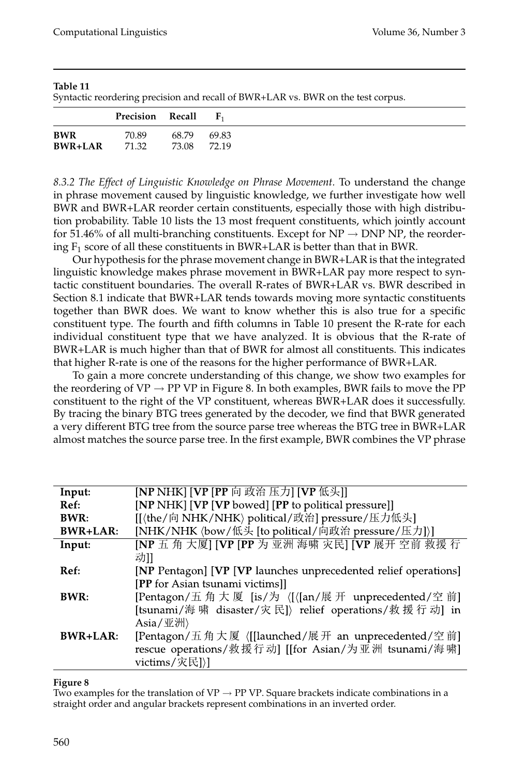| aı<br>n.<br>г |  |
|---------------|--|
|---------------|--|

Syntactic reordering precision and recall of BWR+LAR vs. BWR on the test corpus.

|                | Precision Recall |       | ${\bf F}_1$ |
|----------------|------------------|-------|-------------|
| <b>BWR</b>     | 70.89            | 68.79 | 69.83       |
| <b>BWR+LAR</b> | 71.32            | 73.08 | 72.19       |

*8.3.2 The Effect of Linguistic Knowledge on Phrase Movement.* To understand the change in phrase movement caused by linguistic knowledge, we further investigate how well BWR and BWR+LAR reorder certain constituents, especially those with high distribution probability. Table 10 lists the 13 most frequent constituents, which jointly account for 51.46% of all multi-branching constituents. Except for  $NP \rightarrow DNP NP$ , the reordering  $F_1$  score of all these constituents in BWR+LAR is better than that in BWR.

Our hypothesis for the phrase movement change in BWR+LAR is that the integrated linguistic knowledge makes phrase movement in BWR+LAR pay more respect to syntactic constituent boundaries. The overall R-rates of BWR+LAR vs. BWR described in Section 8.1 indicate that BWR+LAR tends towards moving more syntactic constituents together than BWR does. We want to know whether this is also true for a specific constituent type. The fourth and fifth columns in Table 10 present the R-rate for each individual constituent type that we have analyzed. It is obvious that the R-rate of BWR+LAR is much higher than that of BWR for almost all constituents. This indicates that higher R-rate is one of the reasons for the higher performance of BWR+LAR.

To gain a more concrete understanding of this change, we show two examples for the reordering of  $VP \rightarrow PP VP$  in Figure 8. In both examples, BWR fails to move the PP constituent to the right of the VP constituent, whereas BWR+LAR does it successfully. By tracing the binary BTG trees generated by the decoder, we find that BWR generated a very different BTG tree from the source parse tree whereas the BTG tree in BWR+LAR almost matches the source parse tree. In the first example, BWR combines the VP phrase

| Input:          | [NP NHK] [VP [PP 向 政治 压力] [VP 低头]]                                  |
|-----------------|---------------------------------------------------------------------|
| Ref:            | [NP NHK] [VP [VP bowed] [PP to political pressure]]                 |
| <b>BWR:</b>     | [[(the/向 NHK/NHK) political/政治] pressure/压力低头]                      |
| <b>BWR+LAR:</b> | [NHK/NHK<br><br>(bow/低头 [to political/向政治 pressure/压力])]            |
| Input:          | [NP 五 角 大厦] [VP [PP 为 亚洲 海啸 灾民] [VP 展开 空前 救援 行                      |
|                 | 动日                                                                  |
| Ref:            | [NP Pentagon] [VP [VP launches unprecedented relief operations]     |
|                 | [PP for Asian tsunami victims]]                                     |
| <b>BWR:</b>     | [Pentagon/五角大厦 [is/为 $\langle$ [ $\langle$ [an/展开 unprecedented/空前] |
|                 | [tsunami/海啸 disaster/灾民]) relief operations/救援行动] in                |
|                 | Asia/亚洲〉                                                            |
| <b>BWR+LAR:</b> | [Pentagon/五角大厦 <[[launched/展开 an unprecedented/空前]                  |
|                 | rescue operations/救援行动] [[for Asian/为亚洲 tsunami/海啸]                 |
|                 | victims/灾民])]                                                       |
|                 |                                                                     |

#### **Figure 8**

Two examples for the translation of  $VP \rightarrow PP$  VP. Square brackets indicate combinations in a straight order and angular brackets represent combinations in an inverted order.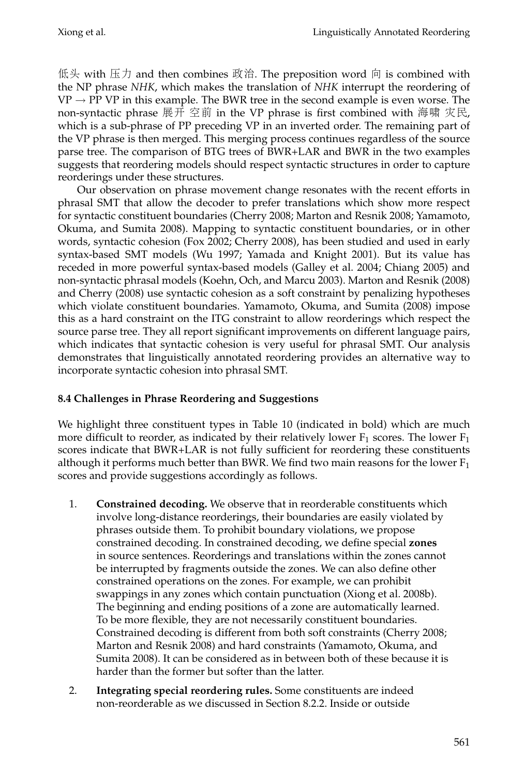低头 with 压力 and then combines 政治. The preposition word 向 is combined with the NP phrase *NHK*, which makes the translation of *NHK* interrupt the reordering of  $VP \rightarrow PP VP$  in this example. The BWR tree in the second example is even worse. The non-syntactic phrase 展开 空前 in the VP phrase is first combined with 海啸 灾民, which is a sub-phrase of PP preceding VP in an inverted order. The remaining part of the VP phrase is then merged. This merging process continues regardless of the source parse tree. The comparison of BTG trees of BWR+LAR and BWR in the two examples suggests that reordering models should respect syntactic structures in order to capture reorderings under these structures.

Our observation on phrase movement change resonates with the recent efforts in phrasal SMT that allow the decoder to prefer translations which show more respect for syntactic constituent boundaries (Cherry 2008; Marton and Resnik 2008; Yamamoto, Okuma, and Sumita 2008). Mapping to syntactic constituent boundaries, or in other words, syntactic cohesion (Fox 2002; Cherry 2008), has been studied and used in early syntax-based SMT models (Wu 1997; Yamada and Knight 2001). But its value has receded in more powerful syntax-based models (Galley et al. 2004; Chiang 2005) and non-syntactic phrasal models (Koehn, Och, and Marcu 2003). Marton and Resnik (2008) and Cherry (2008) use syntactic cohesion as a soft constraint by penalizing hypotheses which violate constituent boundaries. Yamamoto, Okuma, and Sumita (2008) impose this as a hard constraint on the ITG constraint to allow reorderings which respect the source parse tree. They all report significant improvements on different language pairs, which indicates that syntactic cohesion is very useful for phrasal SMT. Our analysis demonstrates that linguistically annotated reordering provides an alternative way to incorporate syntactic cohesion into phrasal SMT.

# **8.4 Challenges in Phrase Reordering and Suggestions**

We highlight three constituent types in Table 10 (indicated in bold) which are much more difficult to reorder, as indicated by their relatively lower  $F_1$  scores. The lower  $F_1$ scores indicate that BWR+LAR is not fully sufficient for reordering these constituents although it performs much better than BWR. We find two main reasons for the lower  $F_1$ scores and provide suggestions accordingly as follows.

- 1. **Constrained decoding.** We observe that in reorderable constituents which involve long-distance reorderings, their boundaries are easily violated by phrases outside them. To prohibit boundary violations, we propose constrained decoding. In constrained decoding, we define special **zones** in source sentences. Reorderings and translations within the zones cannot be interrupted by fragments outside the zones. We can also define other constrained operations on the zones. For example, we can prohibit swappings in any zones which contain punctuation (Xiong et al. 2008b). The beginning and ending positions of a zone are automatically learned. To be more flexible, they are not necessarily constituent boundaries. Constrained decoding is different from both soft constraints (Cherry 2008; Marton and Resnik 2008) and hard constraints (Yamamoto, Okuma, and Sumita 2008). It can be considered as in between both of these because it is harder than the former but softer than the latter.
- 2. **Integrating special reordering rules.** Some constituents are indeed non-reorderable as we discussed in Section 8.2.2. Inside or outside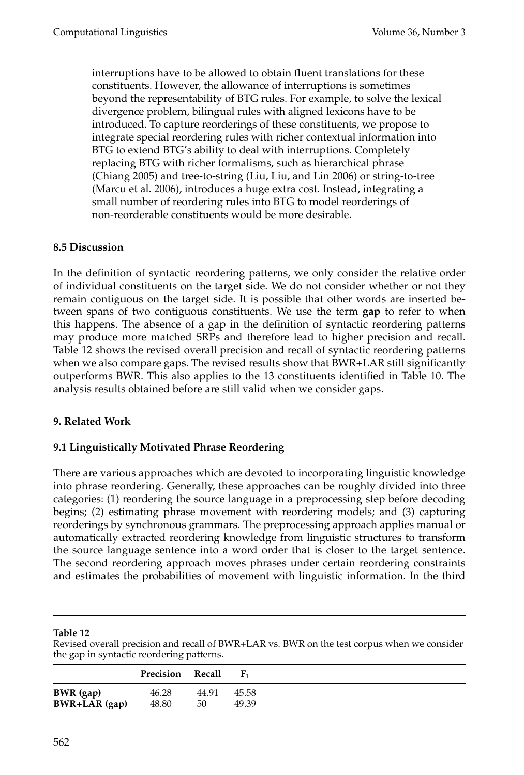interruptions have to be allowed to obtain fluent translations for these constituents. However, the allowance of interruptions is sometimes beyond the representability of BTG rules. For example, to solve the lexical divergence problem, bilingual rules with aligned lexicons have to be introduced. To capture reorderings of these constituents, we propose to integrate special reordering rules with richer contextual information into BTG to extend BTG's ability to deal with interruptions. Completely replacing BTG with richer formalisms, such as hierarchical phrase (Chiang 2005) and tree-to-string (Liu, Liu, and Lin 2006) or string-to-tree (Marcu et al. 2006), introduces a huge extra cost. Instead, integrating a small number of reordering rules into BTG to model reorderings of non-reorderable constituents would be more desirable.

# **8.5 Discussion**

In the definition of syntactic reordering patterns, we only consider the relative order of individual constituents on the target side. We do not consider whether or not they remain contiguous on the target side. It is possible that other words are inserted between spans of two contiguous constituents. We use the term **gap** to refer to when this happens. The absence of a gap in the definition of syntactic reordering patterns may produce more matched SRPs and therefore lead to higher precision and recall. Table 12 shows the revised overall precision and recall of syntactic reordering patterns when we also compare gaps. The revised results show that BWR+LAR still significantly outperforms BWR. This also applies to the 13 constituents identified in Table 10. The analysis results obtained before are still valid when we consider gaps.

# **9. Related Work**

# **9.1 Linguistically Motivated Phrase Reordering**

There are various approaches which are devoted to incorporating linguistic knowledge into phrase reordering. Generally, these approaches can be roughly divided into three categories: (1) reordering the source language in a preprocessing step before decoding begins; (2) estimating phrase movement with reordering models; and (3) capturing reorderings by synchronous grammars. The preprocessing approach applies manual or automatically extracted reordering knowledge from linguistic structures to transform the source language sentence into a word order that is closer to the target sentence. The second reordering approach moves phrases under certain reordering constraints and estimates the probabilities of movement with linguistic information. In the third

#### **Table 12**

Revised overall precision and recall of BWR+LAR vs. BWR on the test corpus when we consider the gap in syntactic reordering patterns.

|               | Precision Recall |       | $\mathbf{F}_1$ |  |  |
|---------------|------------------|-------|----------------|--|--|
| BWR (gap)     | 46.28            | 44.91 | 45.58          |  |  |
| BWR+LAR (gap) | 48.80            | 50    | 49.39          |  |  |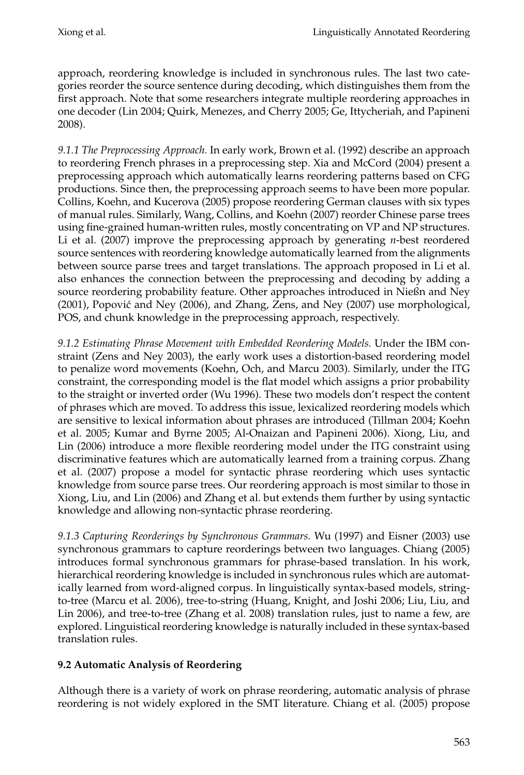approach, reordering knowledge is included in synchronous rules. The last two categories reorder the source sentence during decoding, which distinguishes them from the first approach. Note that some researchers integrate multiple reordering approaches in one decoder (Lin 2004; Quirk, Menezes, and Cherry 2005; Ge, Ittycheriah, and Papineni 2008).

*9.1.1 The Preprocessing Approach.* In early work, Brown et al. (1992) describe an approach to reordering French phrases in a preprocessing step. Xia and McCord (2004) present a preprocessing approach which automatically learns reordering patterns based on CFG productions. Since then, the preprocessing approach seems to have been more popular. Collins, Koehn, and Kucerova (2005) propose reordering German clauses with six types of manual rules. Similarly, Wang, Collins, and Koehn (2007) reorder Chinese parse trees using fine-grained human-written rules, mostly concentrating on VP and NP structures. Li et al. (2007) improve the preprocessing approach by generating *n*-best reordered source sentences with reordering knowledge automatically learned from the alignments between source parse trees and target translations. The approach proposed in Li et al. also enhances the connection between the preprocessing and decoding by adding a source reordering probability feature. Other approaches introduced in Nießn and Ney (2001), Popovic and Ney (2006), and Zhang, Zens, and Ney (2007) use morphological, ´ POS, and chunk knowledge in the preprocessing approach, respectively.

*9.1.2 Estimating Phrase Movement with Embedded Reordering Models.* Under the IBM constraint (Zens and Ney 2003), the early work uses a distortion-based reordering model to penalize word movements (Koehn, Och, and Marcu 2003). Similarly, under the ITG constraint, the corresponding model is the flat model which assigns a prior probability to the straight or inverted order (Wu 1996). These two models don't respect the content of phrases which are moved. To address this issue, lexicalized reordering models which are sensitive to lexical information about phrases are introduced (Tillman 2004; Koehn et al. 2005; Kumar and Byrne 2005; Al-Onaizan and Papineni 2006). Xiong, Liu, and Lin (2006) introduce a more flexible reordering model under the ITG constraint using discriminative features which are automatically learned from a training corpus. Zhang et al. (2007) propose a model for syntactic phrase reordering which uses syntactic knowledge from source parse trees. Our reordering approach is most similar to those in Xiong, Liu, and Lin (2006) and Zhang et al. but extends them further by using syntactic knowledge and allowing non-syntactic phrase reordering.

*9.1.3 Capturing Reorderings by Synchronous Grammars.* Wu (1997) and Eisner (2003) use synchronous grammars to capture reorderings between two languages. Chiang (2005) introduces formal synchronous grammars for phrase-based translation. In his work, hierarchical reordering knowledge is included in synchronous rules which are automatically learned from word-aligned corpus. In linguistically syntax-based models, stringto-tree (Marcu et al. 2006), tree-to-string (Huang, Knight, and Joshi 2006; Liu, Liu, and Lin 2006), and tree-to-tree (Zhang et al. 2008) translation rules, just to name a few, are explored. Linguistical reordering knowledge is naturally included in these syntax-based translation rules.

# **9.2 Automatic Analysis of Reordering**

Although there is a variety of work on phrase reordering, automatic analysis of phrase reordering is not widely explored in the SMT literature. Chiang et al. (2005) propose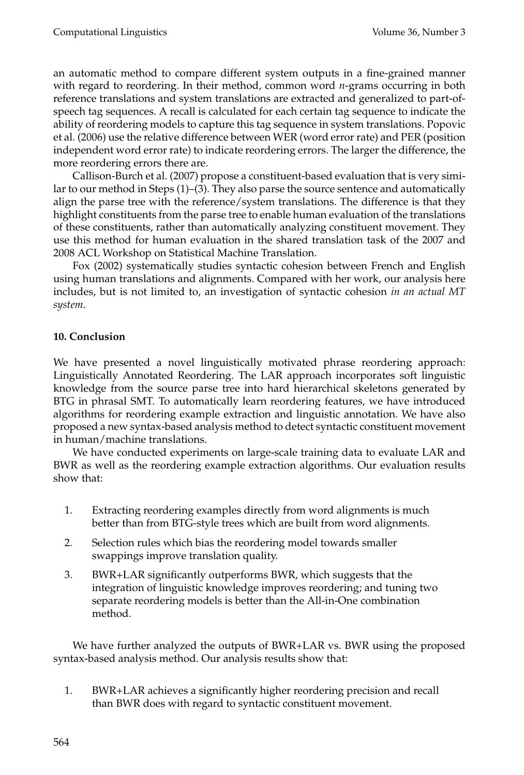an automatic method to compare different system outputs in a fine-grained manner with regard to reordering. In their method, common word *n*-grams occurring in both reference translations and system translations are extracted and generalized to part-ofspeech tag sequences. A recall is calculated for each certain tag sequence to indicate the ability of reordering models to capture this tag sequence in system translations. Popovic et al. (2006) use the relative difference between WER (word error rate) and PER (position independent word error rate) to indicate reordering errors. The larger the difference, the more reordering errors there are.

Callison-Burch et al. (2007) propose a constituent-based evaluation that is very similar to our method in Steps (1)–(3). They also parse the source sentence and automatically align the parse tree with the reference/system translations. The difference is that they highlight constituents from the parse tree to enable human evaluation of the translations of these constituents, rather than automatically analyzing constituent movement. They use this method for human evaluation in the shared translation task of the 2007 and 2008 ACL Workshop on Statistical Machine Translation.

Fox (2002) systematically studies syntactic cohesion between French and English using human translations and alignments. Compared with her work, our analysis here includes, but is not limited to, an investigation of syntactic cohesion *in an actual MT system*.

# **10. Conclusion**

We have presented a novel linguistically motivated phrase reordering approach: Linguistically Annotated Reordering. The LAR approach incorporates soft linguistic knowledge from the source parse tree into hard hierarchical skeletons generated by BTG in phrasal SMT. To automatically learn reordering features, we have introduced algorithms for reordering example extraction and linguistic annotation. We have also proposed a new syntax-based analysis method to detect syntactic constituent movement in human/machine translations.

We have conducted experiments on large-scale training data to evaluate LAR and BWR as well as the reordering example extraction algorithms. Our evaluation results show that:

- 1. Extracting reordering examples directly from word alignments is much better than from BTG-style trees which are built from word alignments.
- 2. Selection rules which bias the reordering model towards smaller swappings improve translation quality.
- 3. BWR+LAR significantly outperforms BWR, which suggests that the integration of linguistic knowledge improves reordering; and tuning two separate reordering models is better than the All-in-One combination method.

We have further analyzed the outputs of BWR+LAR vs. BWR using the proposed syntax-based analysis method. Our analysis results show that:

1. BWR+LAR achieves a significantly higher reordering precision and recall than BWR does with regard to syntactic constituent movement.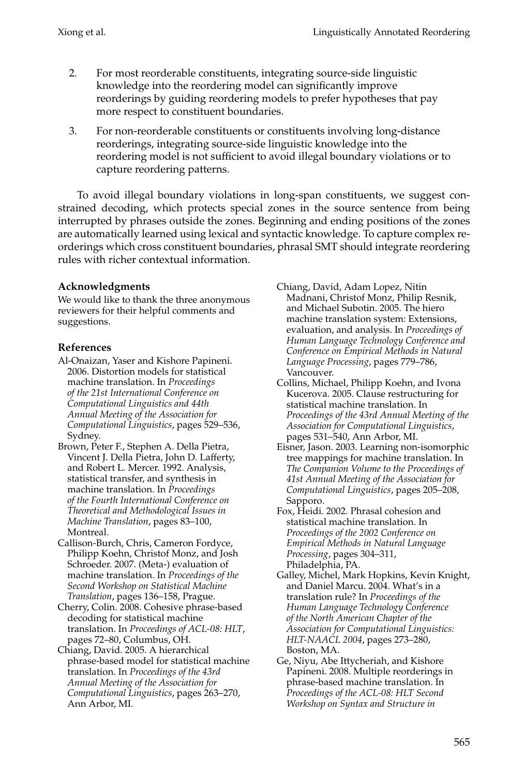- 2. For most reorderable constituents, integrating source-side linguistic knowledge into the reordering model can significantly improve reorderings by guiding reordering models to prefer hypotheses that pay more respect to constituent boundaries.
- 3. For non-reorderable constituents or constituents involving long-distance reorderings, integrating source-side linguistic knowledge into the reordering model is not sufficient to avoid illegal boundary violations or to capture reordering patterns.

To avoid illegal boundary violations in long-span constituents, we suggest constrained decoding, which protects special zones in the source sentence from being interrupted by phrases outside the zones. Beginning and ending positions of the zones are automatically learned using lexical and syntactic knowledge. To capture complex reorderings which cross constituent boundaries, phrasal SMT should integrate reordering rules with richer contextual information.

# **Acknowledgments**

We would like to thank the three anonymous reviewers for their helpful comments and suggestions.

# **References**

- Al-Onaizan, Yaser and Kishore Papineni. 2006. Distortion models for statistical machine translation. In *Proceedings of the 21st International Conference on Computational Linguistics and 44th Annual Meeting of the Association for Computational Linguistics*, pages 529–536, Sydney.
- Brown, Peter F., Stephen A. Della Pietra, Vincent J. Della Pietra, John D. Lafferty, and Robert L. Mercer. 1992. Analysis, statistical transfer, and synthesis in machine translation. In *Proceedings of the Fourth International Conference on Theoretical and Methodological Issues in Machine Translation*, pages 83–100, Montreal.
- Callison-Burch, Chris, Cameron Fordyce, Philipp Koehn, Christof Monz, and Josh Schroeder. 2007. (Meta-) evaluation of machine translation. In *Proceedings of the Second Workshop on Statistical Machine Translation*, pages 136–158, Prague.
- Cherry, Colin. 2008. Cohesive phrase-based decoding for statistical machine translation. In *Proceedings of ACL-08: HLT*, pages 72–80, Columbus, OH.
- Chiang, David. 2005. A hierarchical phrase-based model for statistical machine translation. In *Proceedings of the 43rd Annual Meeting of the Association for Computational Linguistics*, pages 263–270, Ann Arbor, MI.

Chiang, David, Adam Lopez, Nitin Madnani, Christof Monz, Philip Resnik, and Michael Subotin. 2005. The hiero machine translation system: Extensions, evaluation, and analysis. In *Proceedings of Human Language Technology Conference and Conference on Empirical Methods in Natural Language Processing*, pages 779–786, Vancouver.

- Collins, Michael, Philipp Koehn, and Ivona Kucerova. 2005. Clause restructuring for statistical machine translation. In *Proceedings of the 43rd Annual Meeting of the Association for Computational Linguistics*, pages 531–540, Ann Arbor, MI.
- Eisner, Jason. 2003. Learning non-isomorphic tree mappings for machine translation. In *The Companion Volume to the Proceedings of 41st Annual Meeting of the Association for Computational Linguistics*, pages 205–208, Sapporo.
- Fox, Heidi. 2002. Phrasal cohesion and statistical machine translation. In *Proceedings of the 2002 Conference on Empirical Methods in Natural Language Processing*, pages 304–311, Philadelphia, PA.
- Galley, Michel, Mark Hopkins, Kevin Knight, and Daniel Marcu. 2004. What's in a translation rule? In *Proceedings of the Human Language Technology Conference of the North American Chapter of the Association for Computational Linguistics: HLT-NAACL 2004*, pages 273–280, Boston, MA.
- Ge, Niyu, Abe Ittycheriah, and Kishore Papineni. 2008. Multiple reorderings in phrase-based machine translation. In *Proceedings of the ACL-08: HLT Second Workshop on Syntax and Structure in*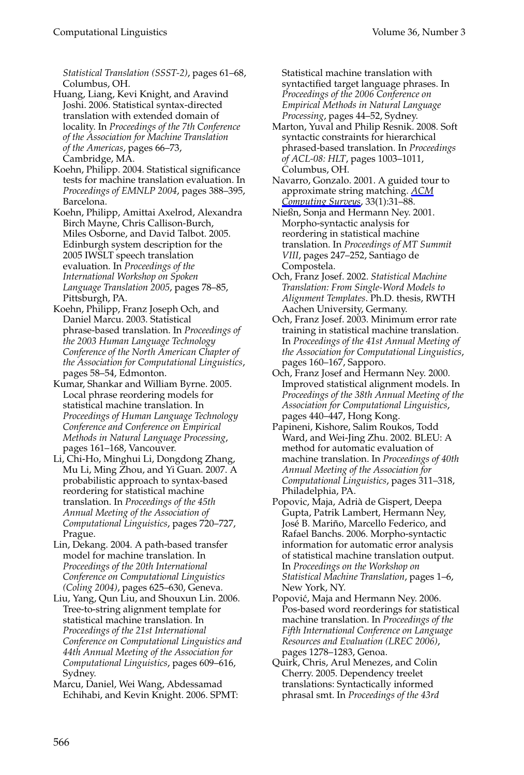#### Computational Linguistics Volume 36, Number 3

*Statistical Translation (SSST-2)*, pages 61–68, Columbus, OH.

- Huang, Liang, Kevi Knight, and Aravind Joshi. 2006. Statistical syntax-directed translation with extended domain of locality. In *Proceedings of the 7th Conference of the Association for Machine Translation of the Americas*, pages 66–73, Cambridge, MA.
- Koehn, Philipp. 2004. Statistical significance tests for machine translation evaluation. In *Proceedings of EMNLP 2004*, pages 388–395, Barcelona.
- Koehn, Philipp, Amittai Axelrod, Alexandra Birch Mayne, Chris Callison-Burch, Miles Osborne, and David Talbot. 2005. Edinburgh system description for the 2005 IWSLT speech translation evaluation. In *Proceedings of the International Workshop on Spoken Language Translation 2005*, pages 78–85, Pittsburgh, PA.
- Koehn, Philipp, Franz Joseph Och, and Daniel Marcu. 2003. Statistical phrase-based translation. In *Proceedings of the 2003 Human Language Technology Conference of the North American Chapter of the Association for Computational Linguistics*, pages 58–54, Edmonton.
- Kumar, Shankar and William Byrne. 2005. Local phrase reordering models for statistical machine translation. In *Proceedings of Human Language Technology Conference and Conference on Empirical Methods in Natural Language Processing*, pages 161–168, Vancouver.
- Li, Chi-Ho, Minghui Li, Dongdong Zhang, Mu Li, Ming Zhou, and Yi Guan. 2007. A probabilistic approach to syntax-based reordering for statistical machine translation. In *Proceedings of the 45th Annual Meeting of the Association of Computational Linguistics*, pages 720–727, Prague.
- Lin, Dekang. 2004. A path-based transfer model for machine translation. In *Proceedings of the 20th International Conference on Computational Linguistics (Coling 2004)*, pages 625–630, Geneva.
- Liu, Yang, Qun Liu, and Shouxun Lin. 2006. Tree-to-string alignment template for statistical machine translation. In *Proceedings of the 21st International Conference on Computational Linguistics and 44th Annual Meeting of the Association for Computational Linguistics*, pages 609–616, Sydney.
- Marcu, Daniel, Wei Wang, Abdessamad Echihabi, and Kevin Knight. 2006. SPMT:

Statistical machine translation with syntactified target language phrases. In *Proceedings of the 2006 Conference on Empirical Methods in Natural Language Processing*, pages 44–52, Sydney.

- Marton, Yuval and Philip Resnik. 2008. Soft syntactic constraints for hierarchical phrased-based translation. In *Proceedings of ACL-08: HLT*, pages 1003–1011, Columbus, OH.
- Navarro, Gonzalo. 2001. A guided tour to approximate string matching. *ACM Computing Surveys*, 33(1):31–88.
- Nießn, Sonja and Hermann Ney. 2001. Morpho-syntactic analysis for reordering in statistical machine translation. In *Proceedings of MT Summit VIII*, pages 247–252, Santiago de Compostela.
- Och, Franz Josef. 2002. *Statistical Machine Translation: From Single-Word Models to Alignment Templates*. Ph.D. thesis, RWTH Aachen University, Germany.
- Och, Franz Josef. 2003. Minimum error rate training in statistical machine translation. In *Proceedings of the 41st Annual Meeting of the Association for Computational Linguistics*, pages 160–167, Sapporo.
- Och, Franz Josef and Hermann Ney. 2000. Improved statistical alignment models. In *Proceedings of the 38th Annual Meeting of the Association for Computational Linguistics*, pages 440–447, Hong Kong.
- Papineni, Kishore, Salim Roukos, Todd Ward, and Wei-Jing Zhu. 2002. BLEU: A method for automatic evaluation of machine translation. In *Proceedings of 40th Annual Meeting of the Association for Computational Linguistics*, pages 311–318, Philadelphia, PA.
- Popovic, Maja, Adria de Gispert, Deepa ` Gupta, Patrik Lambert, Hermann Ney, José B. Mariño, Marcello Federico, and Rafael Banchs. 2006. Morpho-syntactic information for automatic error analysis of statistical machine translation output. In *Proceedings on the Workshop on Statistical Machine Translation*, pages 1–6, New York, NY.
- Popović, Maja and Hermann Ney. 2006. Pos-based word reorderings for statistical machine translation. In *Proceedings of the Fifth International Conference on Language Resources and Evaluation (LREC 2006)*, pages 1278–1283, Genoa.
- Quirk, Chris, Arul Menezes, and Colin Cherry. 2005. Dependency treelet translations: Syntactically informed phrasal smt. In *Proceedings of the 43rd*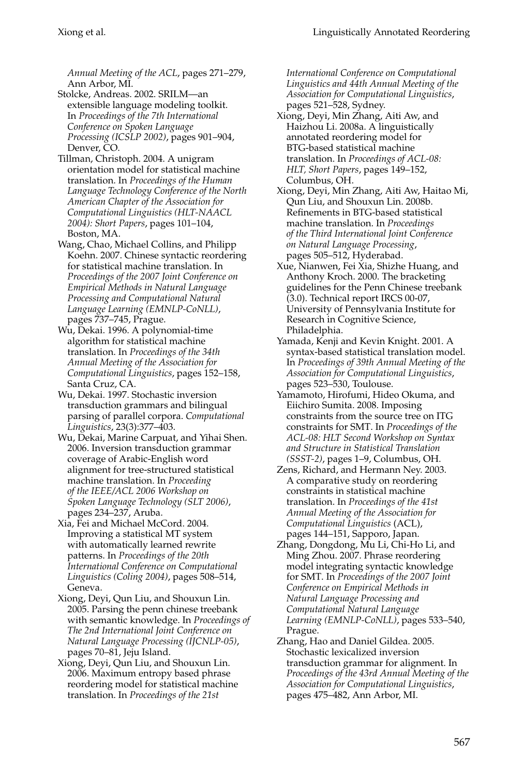*Annual Meeting of the ACL*, pages 271–279, Ann Arbor, MI.

- Stolcke, Andreas. 2002. SRILM—an extensible language modeling toolkit. In *Proceedings of the 7th International Conference on Spoken Language Processing (ICSLP 2002)*, pages 901–904, Denver, CO.
- Tillman, Christoph. 2004. A unigram orientation model for statistical machine translation. In *Proceedings of the Human Language Technology Conference of the North American Chapter of the Association for Computational Linguistics (HLT-NAACL 2004): Short Papers*, pages 101–104, Boston, MA.
- Wang, Chao, Michael Collins, and Philipp Koehn. 2007. Chinese syntactic reordering for statistical machine translation. In *Proceedings of the 2007 Joint Conference on Empirical Methods in Natural Language Processing and Computational Natural Language Learning (EMNLP-CoNLL)*, pages 737–745, Prague.
- Wu, Dekai. 1996. A polynomial-time algorithm for statistical machine translation. In *Proceedings of the 34th Annual Meeting of the Association for Computational Linguistics*, pages 152–158, Santa Cruz, CA.
- Wu, Dekai. 1997. Stochastic inversion transduction grammars and bilingual parsing of parallel corpora. *Computational Linguistics*, 23(3):377–403.
- Wu, Dekai, Marine Carpuat, and Yihai Shen. 2006. Inversion transduction grammar coverage of Arabic-English word alignment for tree-structured statistical machine translation. In *Proceeding of the IEEE/ACL 2006 Workshop on Spoken Language Technology (SLT 2006)*, pages 234–237, Aruba.
- Xia, Fei and Michael McCord. 2004. Improving a statistical MT system with automatically learned rewrite patterns. In *Proceedings of the 20th International Conference on Computational Linguistics (Coling 2004)*, pages 508–514, Geneva.
- Xiong, Deyi, Qun Liu, and Shouxun Lin. 2005. Parsing the penn chinese treebank with semantic knowledge. In *Proceedings of The 2nd International Joint Conference on Natural Language Processing (IJCNLP-05)*, pages 70–81, Jeju Island.
- Xiong, Deyi, Qun Liu, and Shouxun Lin. 2006. Maximum entropy based phrase reordering model for statistical machine translation. In *Proceedings of the 21st*

*International Conference on Computational Linguistics and 44th Annual Meeting of the Association for Computational Linguistics*, pages 521–528, Sydney.

- Xiong, Deyi, Min Zhang, Aiti Aw, and Haizhou Li. 2008a. A linguistically annotated reordering model for BTG-based statistical machine translation. In *Proceedings of ACL-08: HLT, Short Papers*, pages 149–152, Columbus, OH.
- Xiong, Deyi, Min Zhang, Aiti Aw, Haitao Mi, Qun Liu, and Shouxun Lin. 2008b. Refinements in BTG-based statistical machine translation. In *Proceedings of the Third International Joint Conference on Natural Language Processing*, pages 505–512, Hyderabad.
- Xue, Nianwen, Fei Xia, Shizhe Huang, and Anthony Kroch. 2000. The bracketing guidelines for the Penn Chinese treebank (3.0). Technical report IRCS 00-07, University of Pennsylvania Institute for Research in Cognitive Science, Philadelphia.
- Yamada, Kenji and Kevin Knight. 2001. A syntax-based statistical translation model. In *Proceedings of 39th Annual Meeting of the Association for Computational Linguistics*, pages 523–530, Toulouse.
- Yamamoto, Hirofumi, Hideo Okuma, and Eiichiro Sumita. 2008. Imposing constraints from the source tree on ITG constraints for SMT. In *Proceedings of the ACL-08: HLT Second Workshop on Syntax and Structure in Statistical Translation (SSST-2)*, pages 1–9, Columbus, OH.
- Zens, Richard, and Hermann Ney. 2003. A comparative study on reordering constraints in statistical machine translation. In *Proceedings of the 41st Annual Meeting of the Association for Computational Linguistics* (ACL), pages 144–151, Sapporo, Japan.
- Zhang, Dongdong, Mu Li, Chi-Ho Li, and Ming Zhou. 2007. Phrase reordering model integrating syntactic knowledge for SMT. In *Proceedings of the 2007 Joint Conference on Empirical Methods in Natural Language Processing and Computational Natural Language Learning (EMNLP-CoNLL)*, pages 533–540, Prague.
- Zhang, Hao and Daniel Gildea. 2005. Stochastic lexicalized inversion transduction grammar for alignment. In *Proceedings of the 43rd Annual Meeting of the Association for Computational Linguistics*, pages 475–482, Ann Arbor, MI.